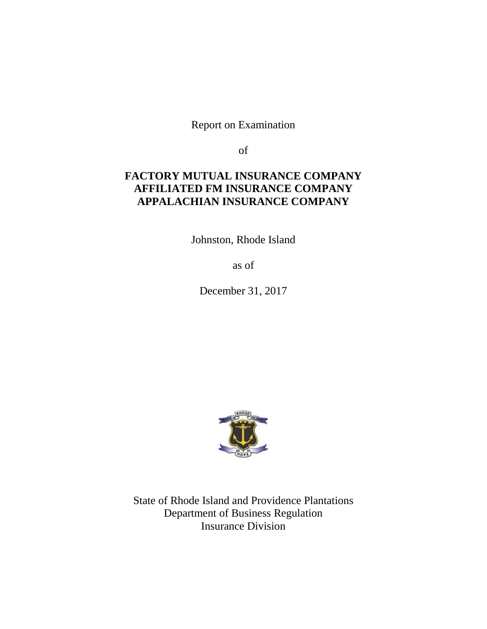Report on Examination

of

# **FACTORY MUTUAL INSURANCE COMPANY AFFILIATED FM INSURANCE COMPANY APPALACHIAN INSURANCE COMPANY**

Johnston, Rhode Island

as of

December 31, 2017



State of Rhode Island and Providence Plantations Department of Business Regulation Insurance Division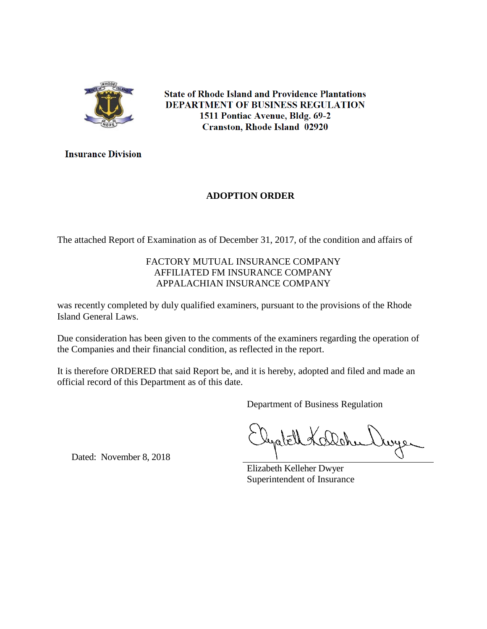

**State of Rhode Island and Providence Plantations** DEPARTMENT OF BUSINESS REGULATION 1511 Pontiac Avenue, Bldg. 69-2 **Cranston, Rhode Island 02920** 

**Insurance Division** 

# **ADOPTION ORDER**

The attached Report of Examination as of December 31, 2017, of the condition and affairs of

# FACTORY MUTUAL INSURANCE COMPANY AFFILIATED FM INSURANCE COMPANY APPALACHIAN INSURANCE COMPANY

was recently completed by duly qualified examiners, pursuant to the provisions of the Rhode Island General Laws.

Due consideration has been given to the comments of the examiners regarding the operation of the Companies and their financial condition, as reflected in the report.

It is therefore ORDERED that said Report be, and it is hereby, adopted and filed and made an official record of this Department as of this date.

Department of Business Regulation

Dated: November 8, 2018

Elizabeth Kelleher Dwyer Superintendent of Insurance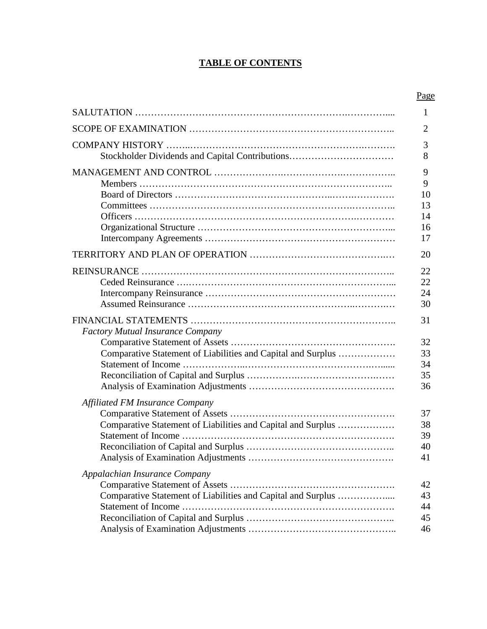# **TABLE OF CONTENTS**

|                                                                                                        | <u>Page</u>                          |
|--------------------------------------------------------------------------------------------------------|--------------------------------------|
|                                                                                                        | 1                                    |
|                                                                                                        | $\overline{2}$                       |
| Stockholder Dividends and Capital Contributions                                                        | 3<br>8                               |
|                                                                                                        | 9<br>9<br>10<br>13<br>14<br>16<br>17 |
|                                                                                                        | 20                                   |
|                                                                                                        | 22<br>22<br>24<br>30                 |
| <b>Factory Mutual Insurance Company</b>                                                                | 31<br>32                             |
| Comparative Statement of Liabilities and Capital and Surplus                                           | 33<br>34<br>35<br>36                 |
| <b>Affiliated FM Insurance Company</b><br>Comparative Statement of Liabilities and Capital and Surplus | 37<br>38<br>39<br>40<br>41           |
| Appalachian Insurance Company<br>Comparative Statement of Liabilities and Capital and Surplus          | 42<br>43<br>44<br>45<br>46           |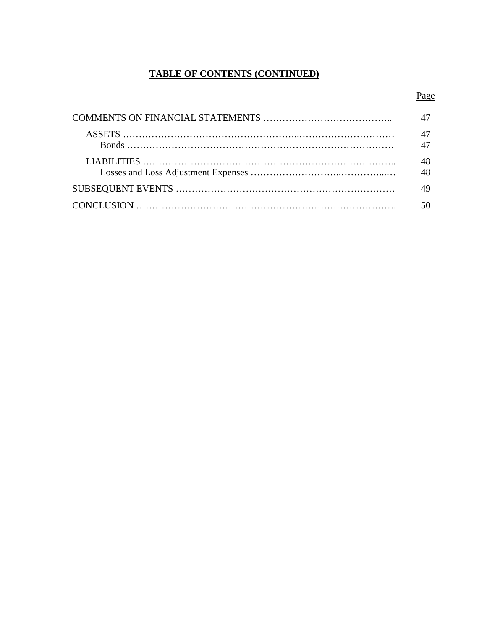# **TABLE OF CONTENTS (CONTINUED)**

# Page

| 47<br>47 |
|----------|
| 48<br>48 |
| 49       |
| 50       |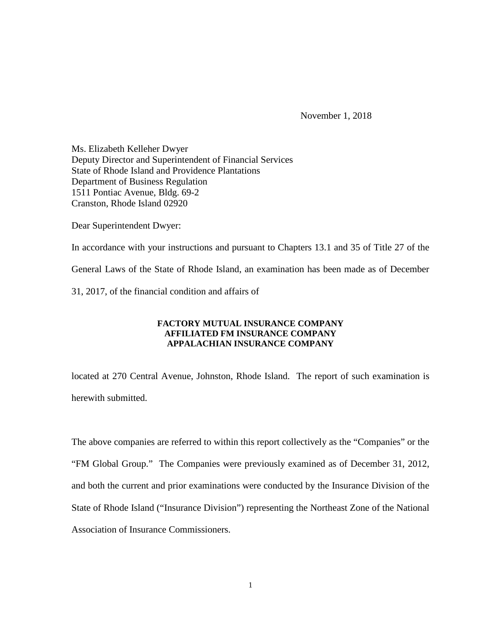November 1, 2018

Ms. Elizabeth Kelleher Dwyer Deputy Director and Superintendent of Financial Services State of Rhode Island and Providence Plantations Department of Business Regulation 1511 Pontiac Avenue, Bldg. 69-2 Cranston, Rhode Island 02920

Dear Superintendent Dwyer:

In accordance with your instructions and pursuant to Chapters 13.1 and 35 of Title 27 of the General Laws of the State of Rhode Island, an examination has been made as of December 31, 2017, of the financial condition and affairs of

## **FACTORY MUTUAL INSURANCE COMPANY AFFILIATED FM INSURANCE COMPANY APPALACHIAN INSURANCE COMPANY**

located at 270 Central Avenue, Johnston, Rhode Island. The report of such examination is herewith submitted.

The above companies are referred to within this report collectively as the "Companies" or the "FM Global Group." The Companies were previously examined as of December 31, 2012, and both the current and prior examinations were conducted by the Insurance Division of the State of Rhode Island ("Insurance Division") representing the Northeast Zone of the National Association of Insurance Commissioners.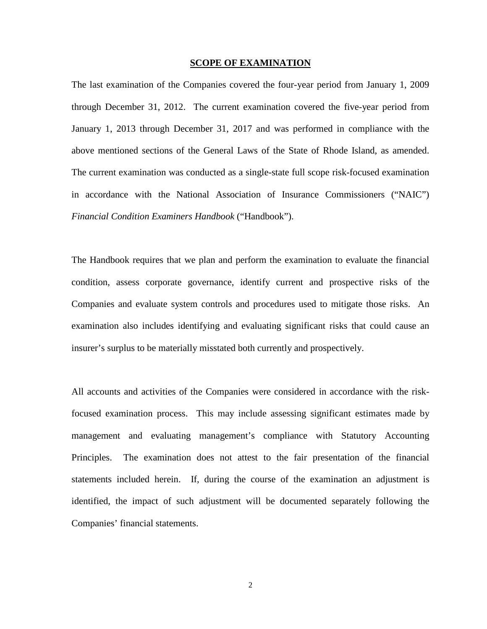#### **SCOPE OF EXAMINATION**

The last examination of the Companies covered the four-year period from January 1, 2009 through December 31, 2012. The current examination covered the five-year period from January 1, 2013 through December 31, 2017 and was performed in compliance with the above mentioned sections of the General Laws of the State of Rhode Island, as amended. The current examination was conducted as a single-state full scope risk-focused examination in accordance with the National Association of Insurance Commissioners ("NAIC") *Financial Condition Examiners Handbook* ("Handbook").

The Handbook requires that we plan and perform the examination to evaluate the financial condition, assess corporate governance, identify current and prospective risks of the Companies and evaluate system controls and procedures used to mitigate those risks. An examination also includes identifying and evaluating significant risks that could cause an insurer's surplus to be materially misstated both currently and prospectively.

All accounts and activities of the Companies were considered in accordance with the riskfocused examination process. This may include assessing significant estimates made by management and evaluating management's compliance with Statutory Accounting Principles. The examination does not attest to the fair presentation of the financial statements included herein. If, during the course of the examination an adjustment is identified, the impact of such adjustment will be documented separately following the Companies' financial statements.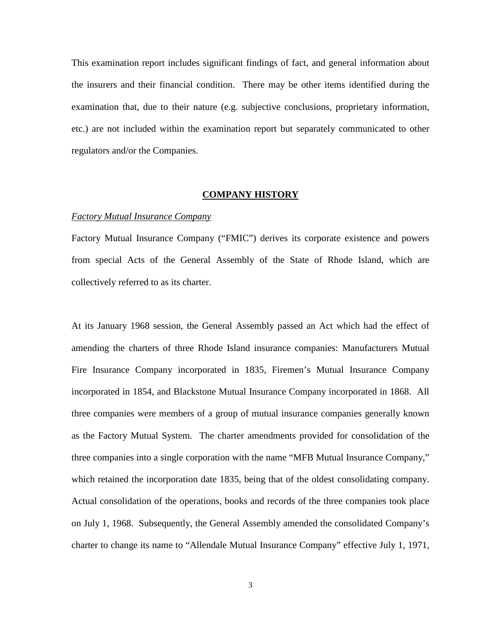This examination report includes significant findings of fact, and general information about the insurers and their financial condition. There may be other items identified during the examination that, due to their nature (e.g. subjective conclusions, proprietary information, etc.) are not included within the examination report but separately communicated to other regulators and/or the Companies.

#### **COMPANY HISTORY**

## *Factory Mutual Insurance Company*

Factory Mutual Insurance Company ("FMIC") derives its corporate existence and powers from special Acts of the General Assembly of the State of Rhode Island, which are collectively referred to as its charter.

At its January 1968 session, the General Assembly passed an Act which had the effect of amending the charters of three Rhode Island insurance companies: Manufacturers Mutual Fire Insurance Company incorporated in 1835, Firemen's Mutual Insurance Company incorporated in 1854, and Blackstone Mutual Insurance Company incorporated in 1868. All three companies were members of a group of mutual insurance companies generally known as the Factory Mutual System. The charter amendments provided for consolidation of the three companies into a single corporation with the name "MFB Mutual Insurance Company," which retained the incorporation date 1835, being that of the oldest consolidating company. Actual consolidation of the operations, books and records of the three companies took place on July 1, 1968. Subsequently, the General Assembly amended the consolidated Company's charter to change its name to "Allendale Mutual Insurance Company" effective July 1, 1971,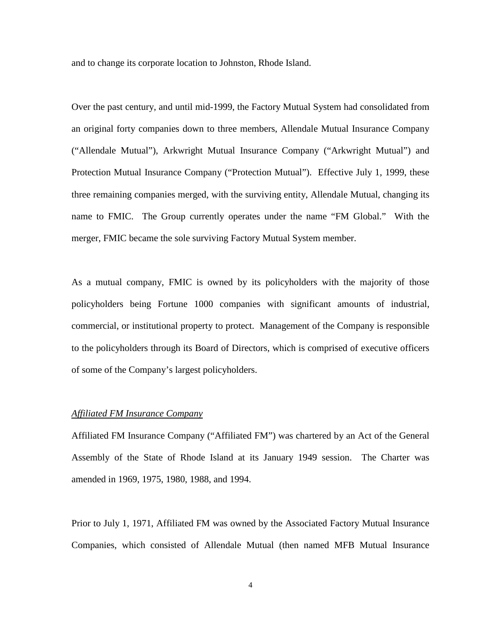and to change its corporate location to Johnston, Rhode Island.

Over the past century, and until mid-1999, the Factory Mutual System had consolidated from an original forty companies down to three members, Allendale Mutual Insurance Company ("Allendale Mutual"), Arkwright Mutual Insurance Company ("Arkwright Mutual") and Protection Mutual Insurance Company ("Protection Mutual"). Effective July 1, 1999, these three remaining companies merged, with the surviving entity, Allendale Mutual, changing its name to FMIC. The Group currently operates under the name "FM Global." With the merger, FMIC became the sole surviving Factory Mutual System member.

As a mutual company, FMIC is owned by its policyholders with the majority of those policyholders being Fortune 1000 companies with significant amounts of industrial, commercial, or institutional property to protect. Management of the Company is responsible to the policyholders through its Board of Directors, which is comprised of executive officers of some of the Company's largest policyholders.

#### *Affiliated FM Insurance Company*

Affiliated FM Insurance Company ("Affiliated FM") was chartered by an Act of the General Assembly of the State of Rhode Island at its January 1949 session. The Charter was amended in 1969, 1975, 1980, 1988, and 1994.

Prior to July 1, 1971, Affiliated FM was owned by the Associated Factory Mutual Insurance Companies, which consisted of Allendale Mutual (then named MFB Mutual Insurance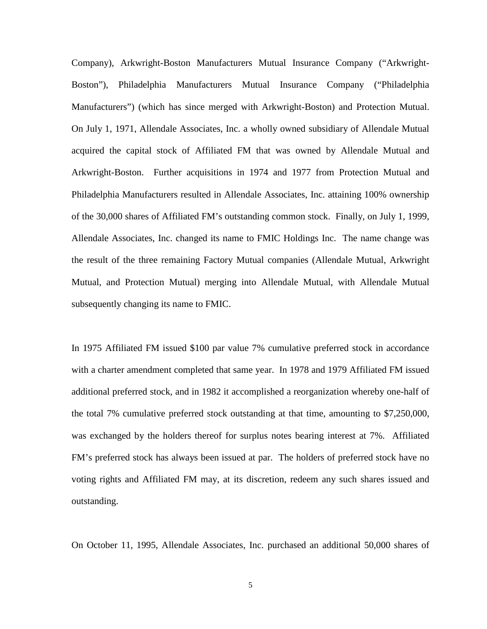Company), Arkwright-Boston Manufacturers Mutual Insurance Company ("Arkwright-Boston"), Philadelphia Manufacturers Mutual Insurance Company ("Philadelphia Manufacturers") (which has since merged with Arkwright-Boston) and Protection Mutual. On July 1, 1971, Allendale Associates, Inc. a wholly owned subsidiary of Allendale Mutual acquired the capital stock of Affiliated FM that was owned by Allendale Mutual and Arkwright-Boston. Further acquisitions in 1974 and 1977 from Protection Mutual and Philadelphia Manufacturers resulted in Allendale Associates, Inc. attaining 100% ownership of the 30,000 shares of Affiliated FM's outstanding common stock. Finally, on July 1, 1999, Allendale Associates, Inc. changed its name to FMIC Holdings Inc. The name change was the result of the three remaining Factory Mutual companies (Allendale Mutual, Arkwright Mutual, and Protection Mutual) merging into Allendale Mutual, with Allendale Mutual subsequently changing its name to FMIC.

In 1975 Affiliated FM issued \$100 par value 7% cumulative preferred stock in accordance with a charter amendment completed that same year. In 1978 and 1979 Affiliated FM issued additional preferred stock, and in 1982 it accomplished a reorganization whereby one-half of the total 7% cumulative preferred stock outstanding at that time, amounting to \$7,250,000, was exchanged by the holders thereof for surplus notes bearing interest at 7%. Affiliated FM's preferred stock has always been issued at par. The holders of preferred stock have no voting rights and Affiliated FM may, at its discretion, redeem any such shares issued and outstanding.

On October 11, 1995, Allendale Associates, Inc. purchased an additional 50,000 shares of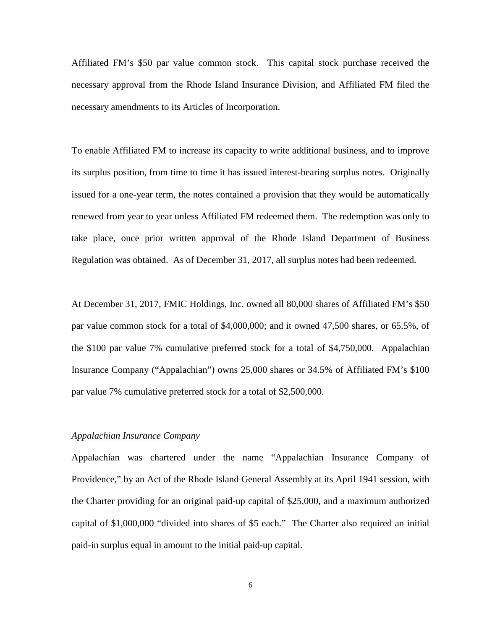Affiliated FM's \$50 par value common stock. This capital stock purchase received the necessary approval from the Rhode Island Insurance Division, and Affiliated FM filed the necessary amendments to its Articles of Incorporation.

To enable Affiliated FM to increase its capacity to write additional business, and to improve its surplus position, from time to time it has issued interest-bearing surplus notes. Originally issued for a one-year term, the notes contained a provision that they would be automatically renewed from year to year unless Affiliated FM redeemed them. The redemption was only to take place, once prior written approval of the Rhode Island Department of Business Regulation was obtained. As of December 31, 2017, all surplus notes had been redeemed.

At December 31, 2017, FMIC Holdings, Inc. owned all 80,000 shares of Affiliated FM's \$50 par value common stock for a total of \$4,000,000; and it owned 47,500 shares, or 65.5%, of the \$100 par value 7% cumulative preferred stock for a total of \$4,750,000. Appalachian Insurance Company ("Appalachian") owns 25,000 shares or 34.5% of Affiliated FM's \$100 par value 7% cumulative preferred stock for a total of \$2,500,000.

#### *Appalachian Insurance Company*

Appalachian was chartered under the name "Appalachian Insurance Company of Providence," by an Act of the Rhode Island General Assembly at its April 1941 session, with the Charter providing for an original paid-up capital of \$25,000, and a maximum authorized capital of \$1,000,000 "divided into shares of \$5 each." The Charter also required an initial paid-in surplus equal in amount to the initial paid-up capital.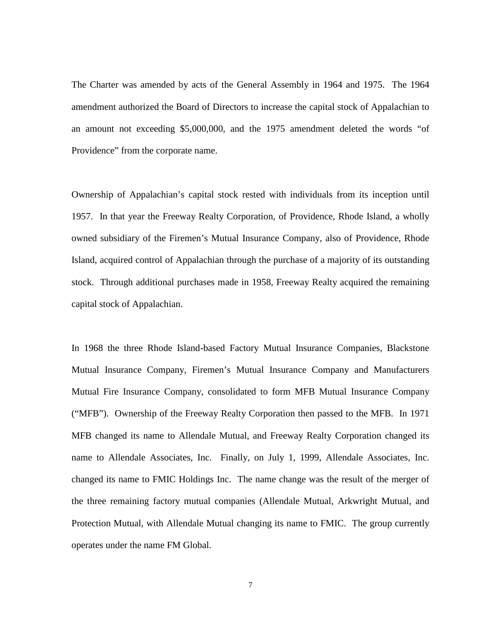The Charter was amended by acts of the General Assembly in 1964 and 1975. The 1964 amendment authorized the Board of Directors to increase the capital stock of Appalachian to an amount not exceeding \$5,000,000, and the 1975 amendment deleted the words "of Providence" from the corporate name.

Ownership of Appalachian's capital stock rested with individuals from its inception until 1957. In that year the Freeway Realty Corporation, of Providence, Rhode Island, a wholly owned subsidiary of the Firemen's Mutual Insurance Company, also of Providence, Rhode Island, acquired control of Appalachian through the purchase of a majority of its outstanding stock. Through additional purchases made in 1958, Freeway Realty acquired the remaining capital stock of Appalachian.

In 1968 the three Rhode Island-based Factory Mutual Insurance Companies, Blackstone Mutual Insurance Company, Firemen's Mutual Insurance Company and Manufacturers Mutual Fire Insurance Company, consolidated to form MFB Mutual Insurance Company ("MFB"). Ownership of the Freeway Realty Corporation then passed to the MFB. In 1971 MFB changed its name to Allendale Mutual, and Freeway Realty Corporation changed its name to Allendale Associates, Inc. Finally, on July 1, 1999, Allendale Associates, Inc. changed its name to FMIC Holdings Inc. The name change was the result of the merger of the three remaining factory mutual companies (Allendale Mutual, Arkwright Mutual, and Protection Mutual, with Allendale Mutual changing its name to FMIC. The group currently operates under the name FM Global.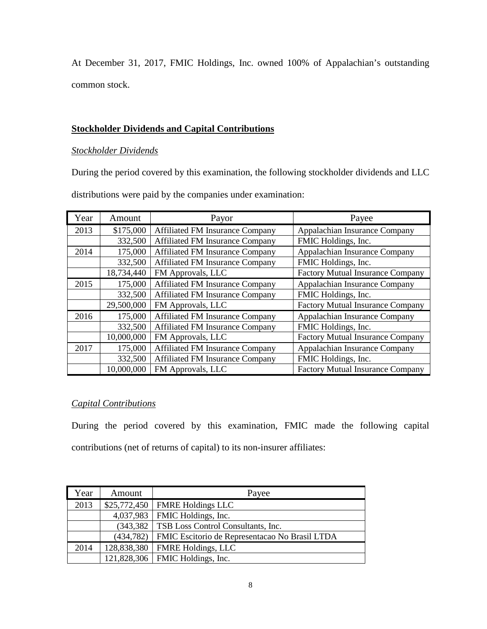At December 31, 2017, FMIC Holdings, Inc. owned 100% of Appalachian's outstanding common stock.

# **Stockholder Dividends and Capital Contributions**

## *Stockholder Dividends*

During the period covered by this examination, the following stockholder dividends and LLC

| Year | Amount     | Payor                                  | Payee                                   |
|------|------------|----------------------------------------|-----------------------------------------|
| 2013 | \$175,000  | <b>Affiliated FM Insurance Company</b> | Appalachian Insurance Company           |
|      | 332,500    | <b>Affiliated FM Insurance Company</b> | FMIC Holdings, Inc.                     |
| 2014 | 175,000    | <b>Affiliated FM Insurance Company</b> | Appalachian Insurance Company           |
|      | 332,500    | <b>Affiliated FM Insurance Company</b> | FMIC Holdings, Inc.                     |
|      | 18,734,440 | FM Approvals, LLC                      | <b>Factory Mutual Insurance Company</b> |
| 2015 | 175,000    | Affiliated FM Insurance Company        | Appalachian Insurance Company           |
|      | 332,500    | <b>Affiliated FM Insurance Company</b> | FMIC Holdings, Inc.                     |
|      | 29,500,000 | FM Approvals, LLC                      | <b>Factory Mutual Insurance Company</b> |
| 2016 | 175,000    | <b>Affiliated FM Insurance Company</b> | Appalachian Insurance Company           |
|      | 332,500    | <b>Affiliated FM Insurance Company</b> | FMIC Holdings, Inc.                     |
|      | 10,000,000 | FM Approvals, LLC                      | <b>Factory Mutual Insurance Company</b> |
| 2017 | 175,000    | <b>Affiliated FM Insurance Company</b> | Appalachian Insurance Company           |
|      | 332,500    | <b>Affiliated FM Insurance Company</b> | FMIC Holdings, Inc.                     |
|      | 10,000,000 | FM Approvals, LLC                      | <b>Factory Mutual Insurance Company</b> |

distributions were paid by the companies under examination:

# *Capital Contributions*

During the period covered by this examination, FMIC made the following capital contributions (net of returns of capital) to its non-insurer affiliates:

| Year | Amount     | Payee                                          |
|------|------------|------------------------------------------------|
| 2013 |            | $$25,772,450$ FMRE Holdings LLC                |
|      |            | $4,037,983$   FMIC Holdings, Inc.              |
|      | (343, 382) | TSB Loss Control Consultants, Inc.             |
|      | (434,782)  | FMIC Escitorio de Representacao No Brasil LTDA |
| 2014 |            | 128,838,380   FMRE Holdings, LLC               |
|      |            | 121,828,306   FMIC Holdings, Inc.              |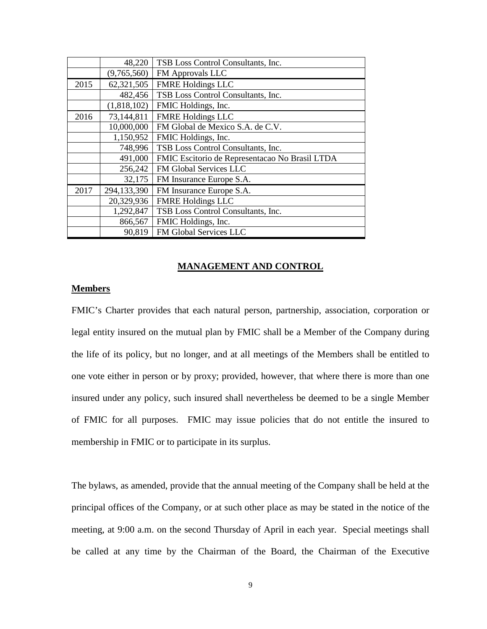|      | 48,220      | TSB Loss Control Consultants, Inc.             |
|------|-------------|------------------------------------------------|
|      | (9,765,560) | <b>FM Approvals LLC</b>                        |
| 2015 | 62,321,505  | <b>FMRE Holdings LLC</b>                       |
|      | 482,456     | TSB Loss Control Consultants, Inc.             |
|      | (1,818,102) | FMIC Holdings, Inc.                            |
| 2016 | 73,144,811  | <b>FMRE Holdings LLC</b>                       |
|      | 10,000,000  | FM Global de Mexico S.A. de C.V.               |
|      | 1,150,952   | FMIC Holdings, Inc.                            |
|      | 748,996     | TSB Loss Control Consultants, Inc.             |
|      | 491,000     | FMIC Escitorio de Representacao No Brasil LTDA |
|      | 256,242     | FM Global Services LLC                         |
|      | 32,175      | FM Insurance Europe S.A.                       |
| 2017 | 294,133,390 | FM Insurance Europe S.A.                       |
|      | 20,329,936  | <b>FMRE Holdings LLC</b>                       |
|      | 1,292,847   | TSB Loss Control Consultants, Inc.             |
|      | 866,567     | FMIC Holdings, Inc.                            |
|      | 90,819      | FM Global Services LLC                         |

### **MANAGEMENT AND CONTROL**

## **Members**

FMIC's Charter provides that each natural person, partnership, association, corporation or legal entity insured on the mutual plan by FMIC shall be a Member of the Company during the life of its policy, but no longer, and at all meetings of the Members shall be entitled to one vote either in person or by proxy; provided, however, that where there is more than one insured under any policy, such insured shall nevertheless be deemed to be a single Member of FMIC for all purposes. FMIC may issue policies that do not entitle the insured to membership in FMIC or to participate in its surplus.

The bylaws, as amended, provide that the annual meeting of the Company shall be held at the principal offices of the Company, or at such other place as may be stated in the notice of the meeting, at 9:00 a.m. on the second Thursday of April in each year. Special meetings shall be called at any time by the Chairman of the Board, the Chairman of the Executive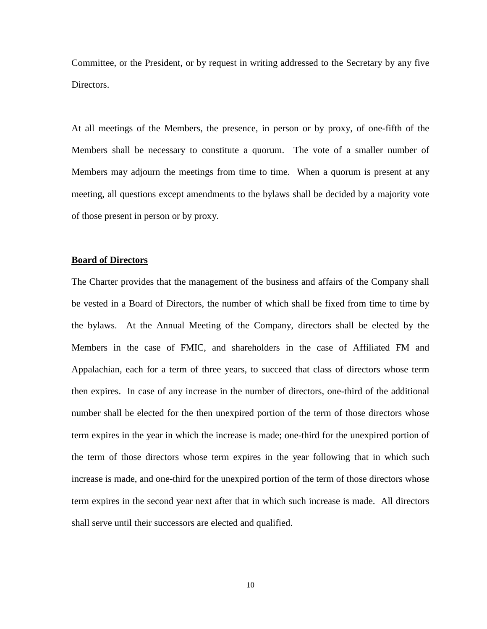Committee, or the President, or by request in writing addressed to the Secretary by any five Directors.

At all meetings of the Members, the presence, in person or by proxy, of one-fifth of the Members shall be necessary to constitute a quorum. The vote of a smaller number of Members may adjourn the meetings from time to time. When a quorum is present at any meeting, all questions except amendments to the bylaws shall be decided by a majority vote of those present in person or by proxy.

#### **Board of Directors**

The Charter provides that the management of the business and affairs of the Company shall be vested in a Board of Directors, the number of which shall be fixed from time to time by the bylaws. At the Annual Meeting of the Company, directors shall be elected by the Members in the case of FMIC, and shareholders in the case of Affiliated FM and Appalachian, each for a term of three years, to succeed that class of directors whose term then expires. In case of any increase in the number of directors, one-third of the additional number shall be elected for the then unexpired portion of the term of those directors whose term expires in the year in which the increase is made; one-third for the unexpired portion of the term of those directors whose term expires in the year following that in which such increase is made, and one-third for the unexpired portion of the term of those directors whose term expires in the second year next after that in which such increase is made. All directors shall serve until their successors are elected and qualified.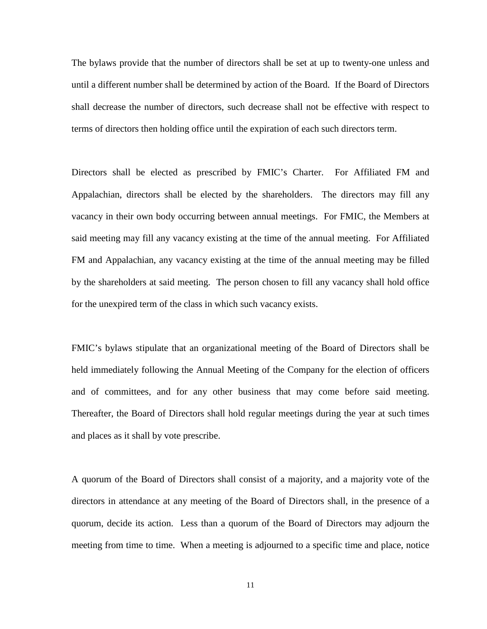The bylaws provide that the number of directors shall be set at up to twenty-one unless and until a different number shall be determined by action of the Board. If the Board of Directors shall decrease the number of directors, such decrease shall not be effective with respect to terms of directors then holding office until the expiration of each such directors term.

Directors shall be elected as prescribed by FMIC's Charter. For Affiliated FM and Appalachian, directors shall be elected by the shareholders. The directors may fill any vacancy in their own body occurring between annual meetings. For FMIC, the Members at said meeting may fill any vacancy existing at the time of the annual meeting. For Affiliated FM and Appalachian, any vacancy existing at the time of the annual meeting may be filled by the shareholders at said meeting. The person chosen to fill any vacancy shall hold office for the unexpired term of the class in which such vacancy exists.

FMIC's bylaws stipulate that an organizational meeting of the Board of Directors shall be held immediately following the Annual Meeting of the Company for the election of officers and of committees, and for any other business that may come before said meeting. Thereafter, the Board of Directors shall hold regular meetings during the year at such times and places as it shall by vote prescribe.

A quorum of the Board of Directors shall consist of a majority, and a majority vote of the directors in attendance at any meeting of the Board of Directors shall, in the presence of a quorum, decide its action. Less than a quorum of the Board of Directors may adjourn the meeting from time to time. When a meeting is adjourned to a specific time and place, notice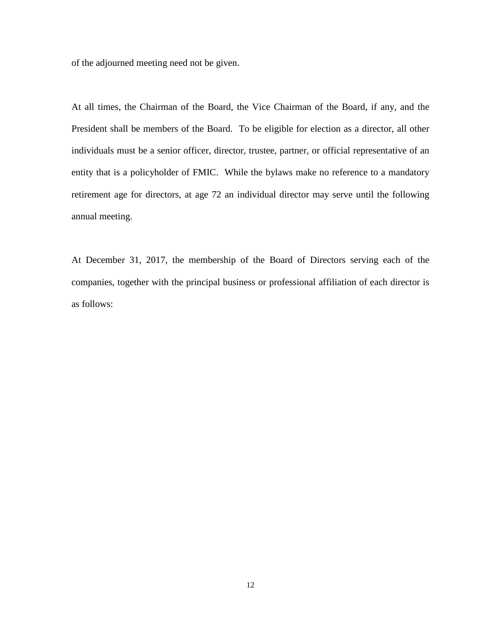of the adjourned meeting need not be given.

At all times, the Chairman of the Board, the Vice Chairman of the Board, if any, and the President shall be members of the Board. To be eligible for election as a director, all other individuals must be a senior officer, director, trustee, partner, or official representative of an entity that is a policyholder of FMIC. While the bylaws make no reference to a mandatory retirement age for directors, at age 72 an individual director may serve until the following annual meeting.

At December 31, 2017, the membership of the Board of Directors serving each of the companies, together with the principal business or professional affiliation of each director is as follows: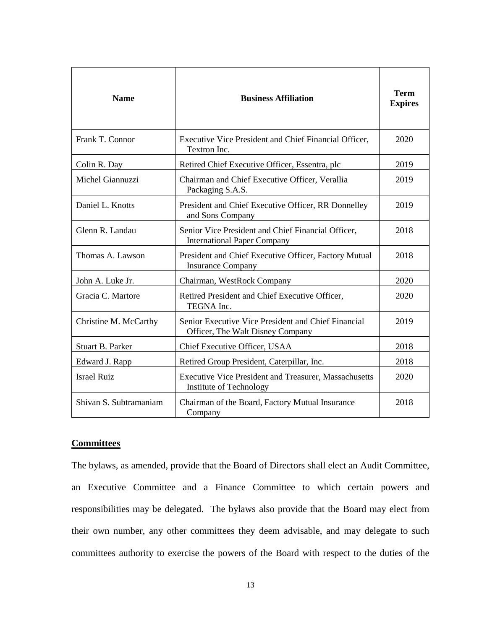| <b>Name</b>            | <b>Business Affiliation</b>                                                              | <b>Term</b><br><b>Expires</b> |
|------------------------|------------------------------------------------------------------------------------------|-------------------------------|
| Frank T. Connor        | Executive Vice President and Chief Financial Officer,<br>Textron Inc.                    | 2020                          |
| Colin R. Day           | Retired Chief Executive Officer, Essentra, plc                                           | 2019                          |
| Michel Giannuzzi       | Chairman and Chief Executive Officer, Verallia<br>Packaging S.A.S.                       | 2019                          |
| Daniel L. Knotts       | President and Chief Executive Officer, RR Donnelley<br>and Sons Company                  | 2019                          |
| Glenn R. Landau        | Senior Vice President and Chief Financial Officer,<br><b>International Paper Company</b> | 2018                          |
| Thomas A. Lawson       | President and Chief Executive Officer, Factory Mutual<br><b>Insurance Company</b>        | 2018                          |
| John A. Luke Jr.       | Chairman, WestRock Company                                                               | 2020                          |
| Gracia C. Martore      | Retired President and Chief Executive Officer,<br>TEGNA Inc.                             | 2020                          |
| Christine M. McCarthy  | Senior Executive Vice President and Chief Financial<br>Officer, The Walt Disney Company  | 2019                          |
| Stuart B. Parker       | Chief Executive Officer, USAA                                                            | 2018                          |
| Edward J. Rapp         | Retired Group President, Caterpillar, Inc.                                               | 2018                          |
| <b>Israel Ruiz</b>     | <b>Executive Vice President and Treasurer, Massachusetts</b><br>Institute of Technology  | 2020                          |
| Shivan S. Subtramaniam | Chairman of the Board, Factory Mutual Insurance<br>Company                               | 2018                          |

## **Committees**

The bylaws, as amended, provide that the Board of Directors shall elect an Audit Committee, an Executive Committee and a Finance Committee to which certain powers and responsibilities may be delegated. The bylaws also provide that the Board may elect from their own number, any other committees they deem advisable, and may delegate to such committees authority to exercise the powers of the Board with respect to the duties of the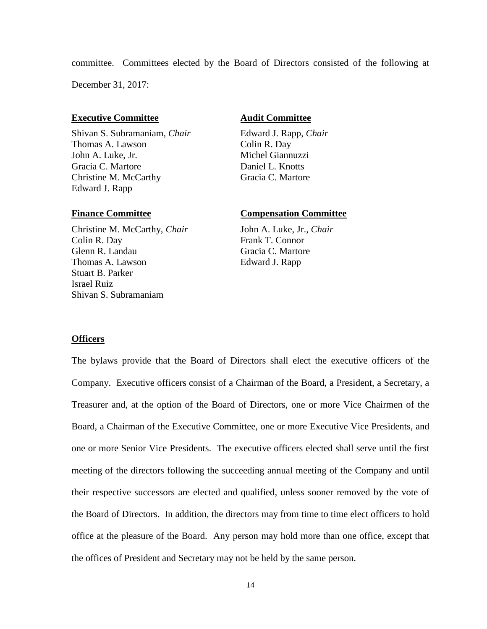committee. Committees elected by the Board of Directors consisted of the following at December 31, 2017:

## **Executive Committee <b>Audit Committee**

Shivan S. Subramaniam, *Chair* Edward J. Rapp, *Chair* Thomas A. Lawson Colin R. Day John A. Luke, Jr. Michel Giannuzzi Gracia C. Martore Daniel L. Knotts Christine M. McCarthy Gracia C. Martore Edward J. Rapp

Christine M. McCarthy, *Chair* John A. Luke, Jr., *Chair* Colin R. Day Frank T. Connor Glenn R. Landau Gracia C. Martore Thomas A. Lawson Edward J. Rapp Stuart B. Parker Israel Ruiz Shivan S. Subramaniam

## **Finance Committee Compensation Committee**

### **Officers**

The bylaws provide that the Board of Directors shall elect the executive officers of the Company. Executive officers consist of a Chairman of the Board, a President, a Secretary, a Treasurer and, at the option of the Board of Directors, one or more Vice Chairmen of the Board, a Chairman of the Executive Committee, one or more Executive Vice Presidents, and one or more Senior Vice Presidents. The executive officers elected shall serve until the first meeting of the directors following the succeeding annual meeting of the Company and until their respective successors are elected and qualified, unless sooner removed by the vote of the Board of Directors. In addition, the directors may from time to time elect officers to hold office at the pleasure of the Board. Any person may hold more than one office, except that the offices of President and Secretary may not be held by the same person.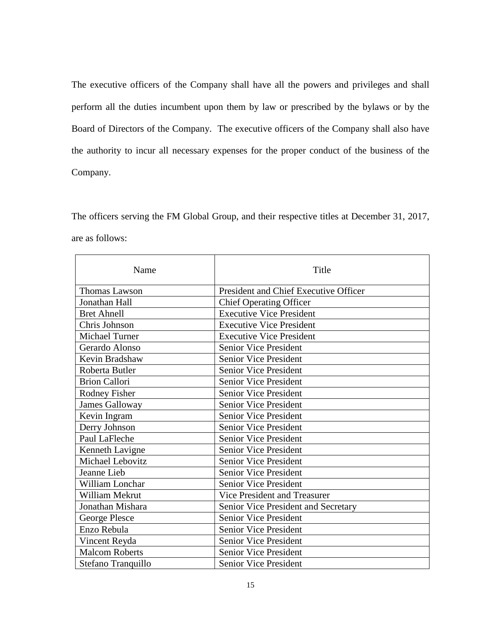The executive officers of the Company shall have all the powers and privileges and shall perform all the duties incumbent upon them by law or prescribed by the bylaws or by the Board of Directors of the Company. The executive officers of the Company shall also have the authority to incur all necessary expenses for the proper conduct of the business of the Company.

The officers serving the FM Global Group, and their respective titles at December 31, 2017, are as follows:

| Name                  | Title                                 |
|-----------------------|---------------------------------------|
| <b>Thomas Lawson</b>  | President and Chief Executive Officer |
| Jonathan Hall         | <b>Chief Operating Officer</b>        |
| <b>Bret Ahnell</b>    | <b>Executive Vice President</b>       |
| Chris Johnson         | <b>Executive Vice President</b>       |
| <b>Michael Turner</b> | <b>Executive Vice President</b>       |
| Gerardo Alonso        | <b>Senior Vice President</b>          |
| Kevin Bradshaw        | Senior Vice President                 |
| Roberta Butler        | Senior Vice President                 |
| <b>Brion Callori</b>  | <b>Senior Vice President</b>          |
| <b>Rodney Fisher</b>  | Senior Vice President                 |
| <b>James Galloway</b> | Senior Vice President                 |
| Kevin Ingram          | <b>Senior Vice President</b>          |
| Derry Johnson         | <b>Senior Vice President</b>          |
| Paul LaFleche         | Senior Vice President                 |
| Kenneth Lavigne       | Senior Vice President                 |
| Michael Lebovitz      | Senior Vice President                 |
| Jeanne Lieb           | Senior Vice President                 |
| William Lonchar       | <b>Senior Vice President</b>          |
| William Mekrut        | Vice President and Treasurer          |
| Jonathan Mishara      | Senior Vice President and Secretary   |
| George Plesce         | <b>Senior Vice President</b>          |
| Enzo Rebula           | Senior Vice President                 |
| Vincent Reyda         | Senior Vice President                 |
| <b>Malcom Roberts</b> | Senior Vice President                 |
| Stefano Tranquillo    | <b>Senior Vice President</b>          |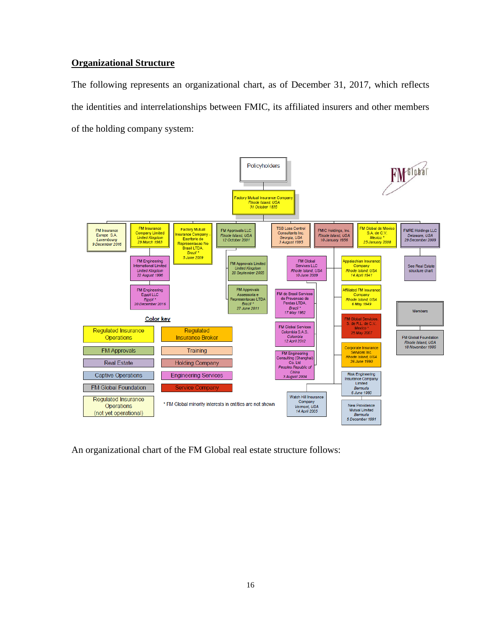## **Organizational Structure**

The following represents an organizational chart, as of December 31, 2017, which reflects the identities and interrelationships between FMIC, its affiliated insurers and other members of the holding company system:



An organizational chart of the FM Global real estate structure follows: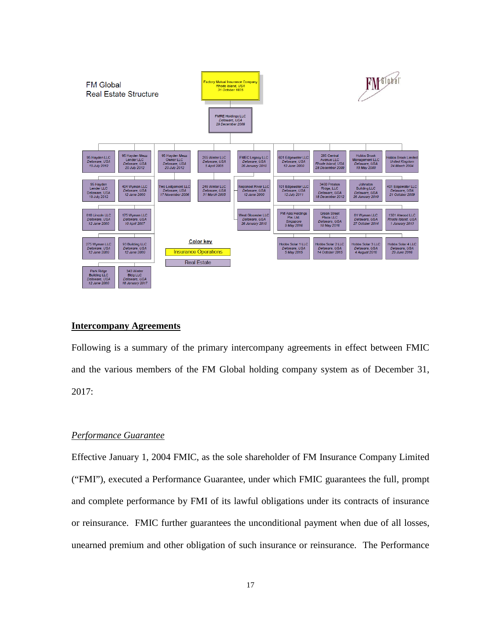

## **Intercompany Agreements**

Following is a summary of the primary intercompany agreements in effect between FMIC and the various members of the FM Global holding company system as of December 31, 2017:

## *Performance Guarantee*

Effective January 1, 2004 FMIC, as the sole shareholder of FM Insurance Company Limited ("FMI"), executed a Performance Guarantee, under which FMIC guarantees the full, prompt and complete performance by FMI of its lawful obligations under its contracts of insurance or reinsurance. FMIC further guarantees the unconditional payment when due of all losses, unearned premium and other obligation of such insurance or reinsurance. The Performance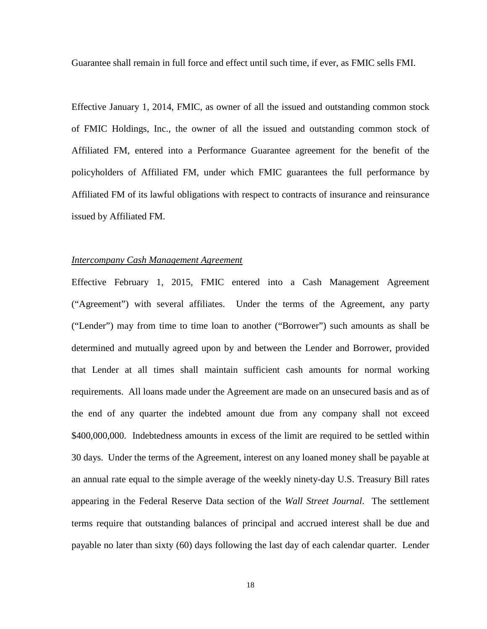Guarantee shall remain in full force and effect until such time, if ever, as FMIC sells FMI.

Effective January 1, 2014, FMIC, as owner of all the issued and outstanding common stock of FMIC Holdings, Inc., the owner of all the issued and outstanding common stock of Affiliated FM, entered into a Performance Guarantee agreement for the benefit of the policyholders of Affiliated FM, under which FMIC guarantees the full performance by Affiliated FM of its lawful obligations with respect to contracts of insurance and reinsurance issued by Affiliated FM.

#### *Intercompany Cash Management Agreement*

Effective February 1, 2015, FMIC entered into a Cash Management Agreement ("Agreement") with several affiliates. Under the terms of the Agreement, any party ("Lender") may from time to time loan to another ("Borrower") such amounts as shall be determined and mutually agreed upon by and between the Lender and Borrower, provided that Lender at all times shall maintain sufficient cash amounts for normal working requirements. All loans made under the Agreement are made on an unsecured basis and as of the end of any quarter the indebted amount due from any company shall not exceed \$400,000,000. Indebtedness amounts in excess of the limit are required to be settled within 30 days. Under the terms of the Agreement, interest on any loaned money shall be payable at an annual rate equal to the simple average of the weekly ninety-day U.S. Treasury Bill rates appearing in the Federal Reserve Data section of the *Wall Street Journal*. The settlement terms require that outstanding balances of principal and accrued interest shall be due and payable no later than sixty (60) days following the last day of each calendar quarter. Lender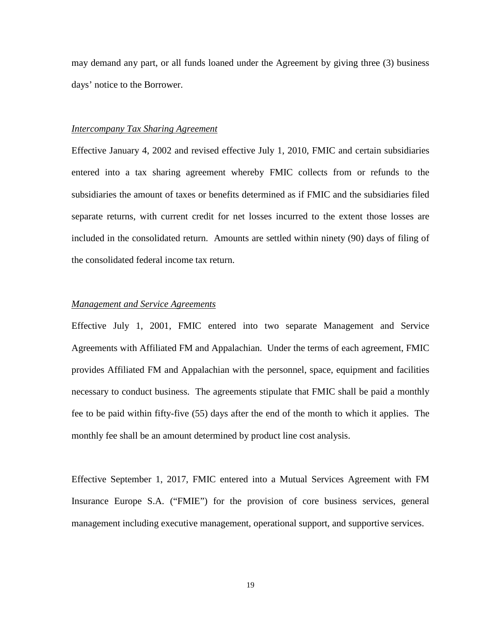may demand any part, or all funds loaned under the Agreement by giving three (3) business days' notice to the Borrower.

#### *Intercompany Tax Sharing Agreement*

Effective January 4, 2002 and revised effective July 1, 2010, FMIC and certain subsidiaries entered into a tax sharing agreement whereby FMIC collects from or refunds to the subsidiaries the amount of taxes or benefits determined as if FMIC and the subsidiaries filed separate returns, with current credit for net losses incurred to the extent those losses are included in the consolidated return. Amounts are settled within ninety (90) days of filing of the consolidated federal income tax return.

#### *Management and Service Agreements*

Effective July 1, 2001, FMIC entered into two separate Management and Service Agreements with Affiliated FM and Appalachian. Under the terms of each agreement, FMIC provides Affiliated FM and Appalachian with the personnel, space, equipment and facilities necessary to conduct business. The agreements stipulate that FMIC shall be paid a monthly fee to be paid within fifty-five (55) days after the end of the month to which it applies. The monthly fee shall be an amount determined by product line cost analysis.

Effective September 1, 2017, FMIC entered into a Mutual Services Agreement with FM Insurance Europe S.A. ("FMIE") for the provision of core business services, general management including executive management, operational support, and supportive services.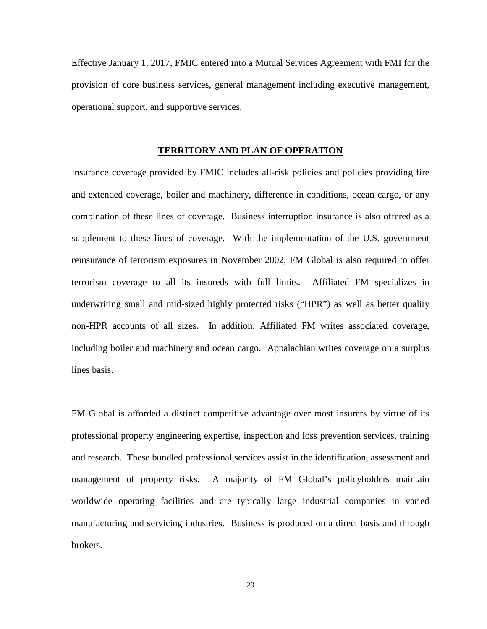Effective January 1, 2017, FMIC entered into a Mutual Services Agreement with FMI for the provision of core business services, general management including executive management, operational support, and supportive services.

## **TERRITORY AND PLAN OF OPERATION**

Insurance coverage provided by FMIC includes all-risk policies and policies providing fire and extended coverage, boiler and machinery, difference in conditions, ocean cargo, or any combination of these lines of coverage. Business interruption insurance is also offered as a supplement to these lines of coverage. With the implementation of the U.S. government reinsurance of terrorism exposures in November 2002, FM Global is also required to offer terrorism coverage to all its insureds with full limits. Affiliated FM specializes in underwriting small and mid-sized highly protected risks ("HPR") as well as better quality non-HPR accounts of all sizes. In addition, Affiliated FM writes associated coverage, including boiler and machinery and ocean cargo. Appalachian writes coverage on a surplus lines basis.

FM Global is afforded a distinct competitive advantage over most insurers by virtue of its professional property engineering expertise, inspection and loss prevention services, training and research. These bundled professional services assist in the identification, assessment and management of property risks. A majority of FM Global's policyholders maintain worldwide operating facilities and are typically large industrial companies in varied manufacturing and servicing industries. Business is produced on a direct basis and through brokers.

20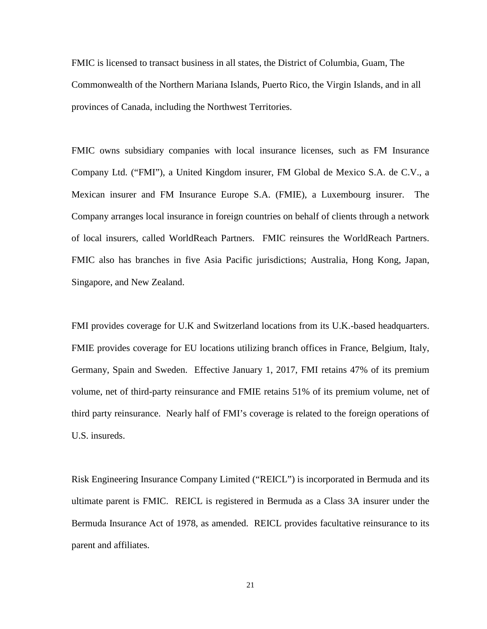FMIC is licensed to transact business in all states, the District of Columbia, Guam, The Commonwealth of the Northern Mariana Islands, Puerto Rico, the Virgin Islands, and in all provinces of Canada, including the Northwest Territories.

FMIC owns subsidiary companies with local insurance licenses, such as FM Insurance Company Ltd. ("FMI"), a United Kingdom insurer, FM Global de Mexico S.A. de C.V., a Mexican insurer and FM Insurance Europe S.A. (FMIE), a Luxembourg insurer. The Company arranges local insurance in foreign countries on behalf of clients through a network of local insurers, called WorldReach Partners. FMIC reinsures the WorldReach Partners. FMIC also has branches in five Asia Pacific jurisdictions; Australia, Hong Kong, Japan, Singapore, and New Zealand.

FMI provides coverage for U.K and Switzerland locations from its U.K.-based headquarters. FMIE provides coverage for EU locations utilizing branch offices in France, Belgium, Italy, Germany, Spain and Sweden. Effective January 1, 2017, FMI retains 47% of its premium volume, net of third-party reinsurance and FMIE retains 51% of its premium volume, net of third party reinsurance. Nearly half of FMI's coverage is related to the foreign operations of U.S. insureds.

Risk Engineering Insurance Company Limited ("REICL") is incorporated in Bermuda and its ultimate parent is FMIC. REICL is registered in Bermuda as a Class 3A insurer under the Bermuda Insurance Act of 1978, as amended. REICL provides facultative reinsurance to its parent and affiliates.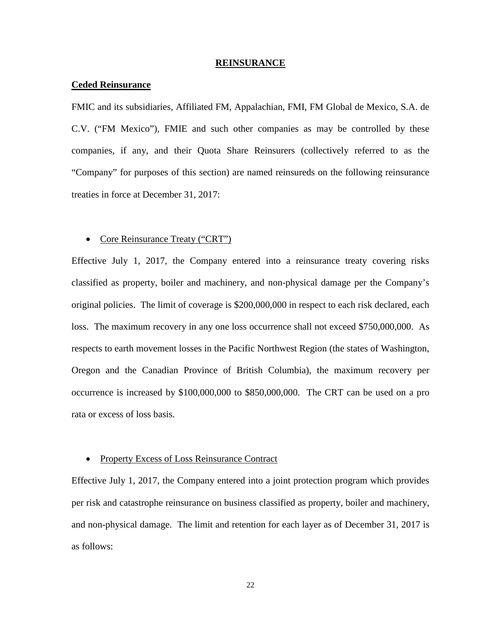#### **REINSURANCE**

### **Ceded Reinsurance**

FMIC and its subsidiaries, Affiliated FM, Appalachian, FMI, FM Global de Mexico, S.A. de C.V. ("FM Mexico"), FMIE and such other companies as may be controlled by these companies, if any, and their Quota Share Reinsurers (collectively referred to as the "Company" for purposes of this section) are named reinsureds on the following reinsurance treaties in force at December 31, 2017:

## • Core Reinsurance Treaty ("CRT")

Effective July 1, 2017, the Company entered into a reinsurance treaty covering risks classified as property, boiler and machinery, and non-physical damage per the Company's original policies. The limit of coverage is \$200,000,000 in respect to each risk declared, each loss. The maximum recovery in any one loss occurrence shall not exceed \$750,000,000. As respects to earth movement losses in the Pacific Northwest Region (the states of Washington, Oregon and the Canadian Province of British Columbia), the maximum recovery per occurrence is increased by \$100,000,000 to \$850,000,000. The CRT can be used on a pro rata or excess of loss basis.

#### • Property Excess of Loss Reinsurance Contract

Effective July 1, 2017, the Company entered into a joint protection program which provides per risk and catastrophe reinsurance on business classified as property, boiler and machinery, and non-physical damage. The limit and retention for each layer as of December 31, 2017 is as follows: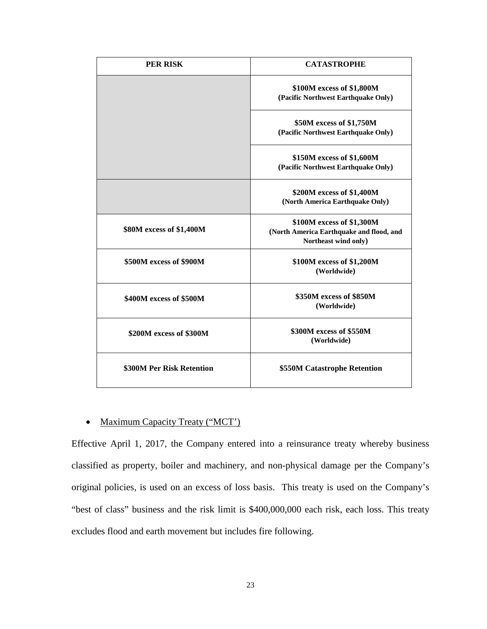| <b>PER RISK</b>           | <b>CATASTROPHE</b>                                                                            |
|---------------------------|-----------------------------------------------------------------------------------------------|
|                           | \$100M excess of \$1,800M<br>(Pacific Northwest Earthquake Only)                              |
|                           | \$50M excess of \$1,750M<br>(Pacific Northwest Earthquake Only)                               |
|                           | \$150M excess of \$1,600M<br>(Pacific Northwest Earthquake Only)                              |
|                           | \$200M excess of \$1,400M<br>(North America Earthquake Only)                                  |
| \$80M excess of \$1,400M  | \$100M excess of \$1,300M<br>(North America Earthquake and flood, and<br>Northeast wind only) |
| \$500M excess of \$900M   | \$100M excess of \$1,200M<br>(Worldwide)                                                      |
| \$400M excess of \$500M   | \$350M excess of \$850M<br>(Worldwide)                                                        |
| \$200M excess of \$300M   | \$300M excess of \$550M<br>(Worldwide)                                                        |
| \$300M Per Risk Retention | \$550M Catastrophe Retention                                                                  |

# • Maximum Capacity Treaty ("MCT")

Effective April 1, 2017, the Company entered into a reinsurance treaty whereby business classified as property, boiler and machinery, and non-physical damage per the Company's original policies, is used on an excess of loss basis. This treaty is used on the Company's "best of class" business and the risk limit is \$400,000,000 each risk, each loss. This treaty excludes flood and earth movement but includes fire following.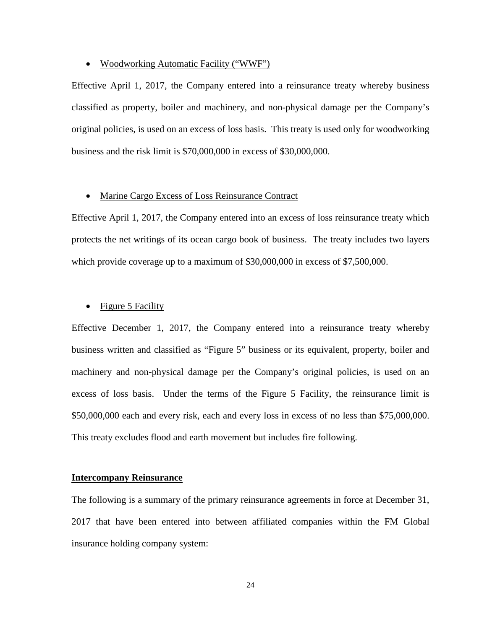#### • Woodworking Automatic Facility ("WWF")

Effective April 1, 2017, the Company entered into a reinsurance treaty whereby business classified as property, boiler and machinery, and non-physical damage per the Company's original policies, is used on an excess of loss basis. This treaty is used only for woodworking business and the risk limit is \$70,000,000 in excess of \$30,000,000.

## • Marine Cargo Excess of Loss Reinsurance Contract

Effective April 1, 2017, the Company entered into an excess of loss reinsurance treaty which protects the net writings of its ocean cargo book of business. The treaty includes two layers which provide coverage up to a maximum of \$30,000,000 in excess of \$7,500,000.

## • Figure 5 Facility

Effective December 1, 2017, the Company entered into a reinsurance treaty whereby business written and classified as "Figure 5" business or its equivalent, property, boiler and machinery and non-physical damage per the Company's original policies, is used on an excess of loss basis. Under the terms of the Figure 5 Facility, the reinsurance limit is \$50,000,000 each and every risk, each and every loss in excess of no less than \$75,000,000. This treaty excludes flood and earth movement but includes fire following.

## **Intercompany Reinsurance**

The following is a summary of the primary reinsurance agreements in force at December 31, 2017 that have been entered into between affiliated companies within the FM Global insurance holding company system:

24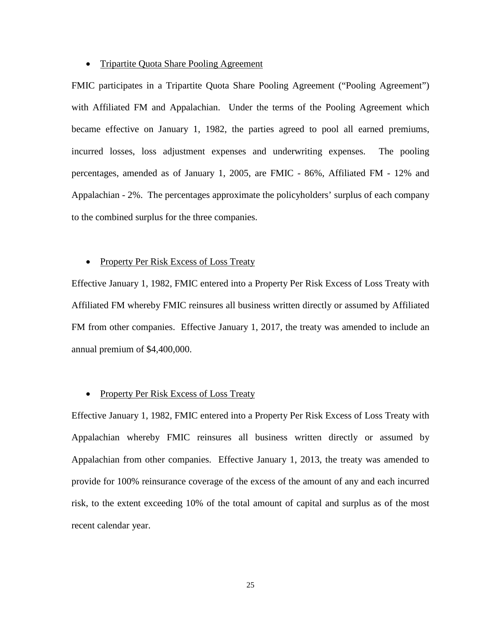### • Tripartite Quota Share Pooling Agreement

FMIC participates in a Tripartite Quota Share Pooling Agreement ("Pooling Agreement") with Affiliated FM and Appalachian. Under the terms of the Pooling Agreement which became effective on January 1, 1982, the parties agreed to pool all earned premiums, incurred losses, loss adjustment expenses and underwriting expenses. The pooling percentages, amended as of January 1, 2005, are FMIC - 86%, Affiliated FM - 12% and Appalachian - 2%. The percentages approximate the policyholders' surplus of each company to the combined surplus for the three companies.

## • Property Per Risk Excess of Loss Treaty

Effective January 1, 1982, FMIC entered into a Property Per Risk Excess of Loss Treaty with Affiliated FM whereby FMIC reinsures all business written directly or assumed by Affiliated FM from other companies. Effective January 1, 2017, the treaty was amended to include an annual premium of \$4,400,000.

#### • Property Per Risk Excess of Loss Treaty

Effective January 1, 1982, FMIC entered into a Property Per Risk Excess of Loss Treaty with Appalachian whereby FMIC reinsures all business written directly or assumed by Appalachian from other companies. Effective January 1, 2013, the treaty was amended to provide for 100% reinsurance coverage of the excess of the amount of any and each incurred risk, to the extent exceeding 10% of the total amount of capital and surplus as of the most recent calendar year.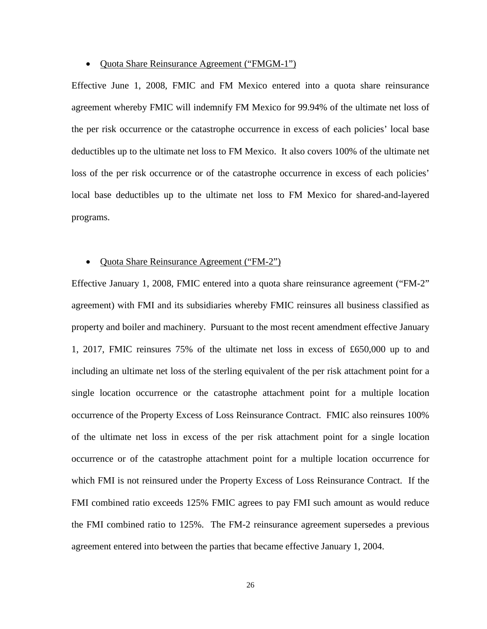#### • Quota Share Reinsurance Agreement ("FMGM-1")

Effective June 1, 2008, FMIC and FM Mexico entered into a quota share reinsurance agreement whereby FMIC will indemnify FM Mexico for 99.94% of the ultimate net loss of the per risk occurrence or the catastrophe occurrence in excess of each policies' local base deductibles up to the ultimate net loss to FM Mexico. It also covers 100% of the ultimate net loss of the per risk occurrence or of the catastrophe occurrence in excess of each policies' local base deductibles up to the ultimate net loss to FM Mexico for shared-and-layered programs.

## • Quota Share Reinsurance Agreement ("FM-2")

Effective January 1, 2008, FMIC entered into a quota share reinsurance agreement ("FM-2" agreement) with FMI and its subsidiaries whereby FMIC reinsures all business classified as property and boiler and machinery. Pursuant to the most recent amendment effective January 1, 2017, FMIC reinsures 75% of the ultimate net loss in excess of £650,000 up to and including an ultimate net loss of the sterling equivalent of the per risk attachment point for a single location occurrence or the catastrophe attachment point for a multiple location occurrence of the Property Excess of Loss Reinsurance Contract. FMIC also reinsures 100% of the ultimate net loss in excess of the per risk attachment point for a single location occurrence or of the catastrophe attachment point for a multiple location occurrence for which FMI is not reinsured under the Property Excess of Loss Reinsurance Contract. If the FMI combined ratio exceeds 125% FMIC agrees to pay FMI such amount as would reduce the FMI combined ratio to 125%. The FM-2 reinsurance agreement supersedes a previous agreement entered into between the parties that became effective January 1, 2004.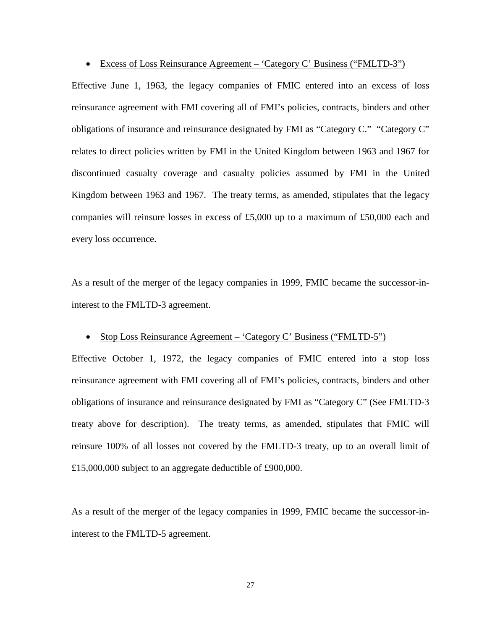• Excess of Loss Reinsurance Agreement – 'Category C' Business ("FMLTD-3")

Effective June 1, 1963, the legacy companies of FMIC entered into an excess of loss reinsurance agreement with FMI covering all of FMI's policies, contracts, binders and other obligations of insurance and reinsurance designated by FMI as "Category C." "Category C" relates to direct policies written by FMI in the United Kingdom between 1963 and 1967 for discontinued casualty coverage and casualty policies assumed by FMI in the United Kingdom between 1963 and 1967. The treaty terms, as amended, stipulates that the legacy companies will reinsure losses in excess of £5,000 up to a maximum of £50,000 each and every loss occurrence.

As a result of the merger of the legacy companies in 1999, FMIC became the successor-ininterest to the FMLTD-3 agreement.

## • Stop Loss Reinsurance Agreement – 'Category C' Business ("FMLTD-5")

Effective October 1, 1972, the legacy companies of FMIC entered into a stop loss reinsurance agreement with FMI covering all of FMI's policies, contracts, binders and other obligations of insurance and reinsurance designated by FMI as "Category C" (See FMLTD-3 treaty above for description). The treaty terms, as amended, stipulates that FMIC will reinsure 100% of all losses not covered by the FMLTD-3 treaty, up to an overall limit of £15,000,000 subject to an aggregate deductible of £900,000.

As a result of the merger of the legacy companies in 1999, FMIC became the successor-ininterest to the FMLTD-5 agreement.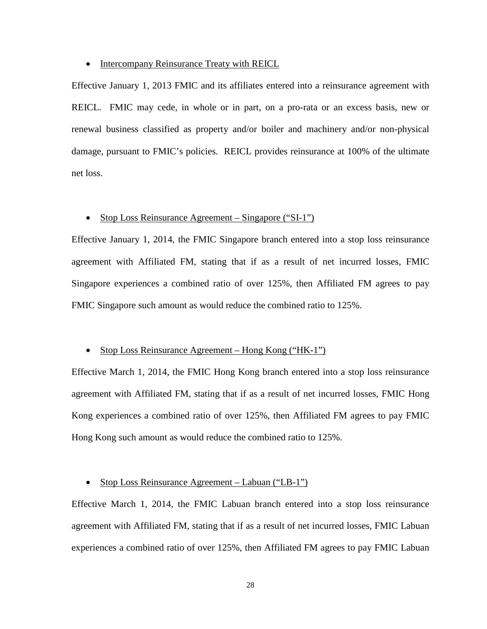### • Intercompany Reinsurance Treaty with REICL

Effective January 1, 2013 FMIC and its affiliates entered into a reinsurance agreement with REICL. FMIC may cede, in whole or in part, on a pro-rata or an excess basis, new or renewal business classified as property and/or boiler and machinery and/or non-physical damage, pursuant to FMIC's policies. REICL provides reinsurance at 100% of the ultimate net loss.

#### • Stop Loss Reinsurance Agreement – Singapore ("SI-1")

Effective January 1, 2014, the FMIC Singapore branch entered into a stop loss reinsurance agreement with Affiliated FM, stating that if as a result of net incurred losses, FMIC Singapore experiences a combined ratio of over 125%, then Affiliated FM agrees to pay FMIC Singapore such amount as would reduce the combined ratio to 125%.

## • Stop Loss Reinsurance Agreement – Hong Kong ("HK-1")

Effective March 1, 2014, the FMIC Hong Kong branch entered into a stop loss reinsurance agreement with Affiliated FM, stating that if as a result of net incurred losses, FMIC Hong Kong experiences a combined ratio of over 125%, then Affiliated FM agrees to pay FMIC Hong Kong such amount as would reduce the combined ratio to 125%.

## • Stop Loss Reinsurance Agreement – Labuan ("LB-1")

Effective March 1, 2014, the FMIC Labuan branch entered into a stop loss reinsurance agreement with Affiliated FM, stating that if as a result of net incurred losses, FMIC Labuan experiences a combined ratio of over 125%, then Affiliated FM agrees to pay FMIC Labuan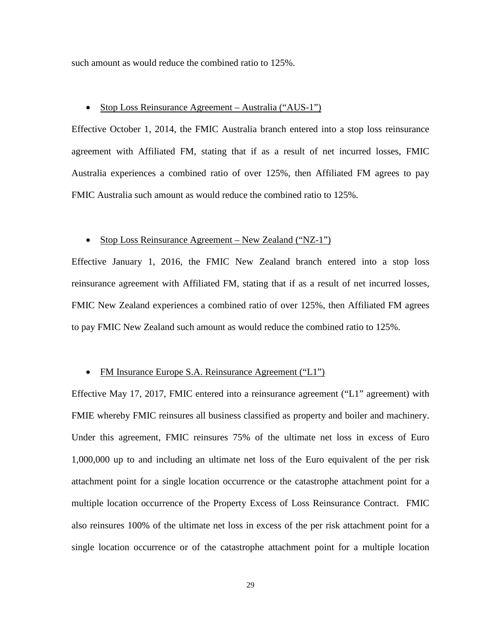such amount as would reduce the combined ratio to 125%.

#### • Stop Loss Reinsurance Agreement – Australia ("AUS-1")

Effective October 1, 2014, the FMIC Australia branch entered into a stop loss reinsurance agreement with Affiliated FM, stating that if as a result of net incurred losses, FMIC Australia experiences a combined ratio of over 125%, then Affiliated FM agrees to pay FMIC Australia such amount as would reduce the combined ratio to 125%.

## • Stop Loss Reinsurance Agreement – New Zealand ("NZ-1")

Effective January 1, 2016, the FMIC New Zealand branch entered into a stop loss reinsurance agreement with Affiliated FM, stating that if as a result of net incurred losses, FMIC New Zealand experiences a combined ratio of over 125%, then Affiliated FM agrees to pay FMIC New Zealand such amount as would reduce the combined ratio to 125%.

## • FM Insurance Europe S.A. Reinsurance Agreement ("L1")

Effective May 17, 2017, FMIC entered into a reinsurance agreement ("L1" agreement) with FMIE whereby FMIC reinsures all business classified as property and boiler and machinery. Under this agreement, FMIC reinsures 75% of the ultimate net loss in excess of Euro 1,000,000 up to and including an ultimate net loss of the Euro equivalent of the per risk attachment point for a single location occurrence or the catastrophe attachment point for a multiple location occurrence of the Property Excess of Loss Reinsurance Contract. FMIC also reinsures 100% of the ultimate net loss in excess of the per risk attachment point for a single location occurrence or of the catastrophe attachment point for a multiple location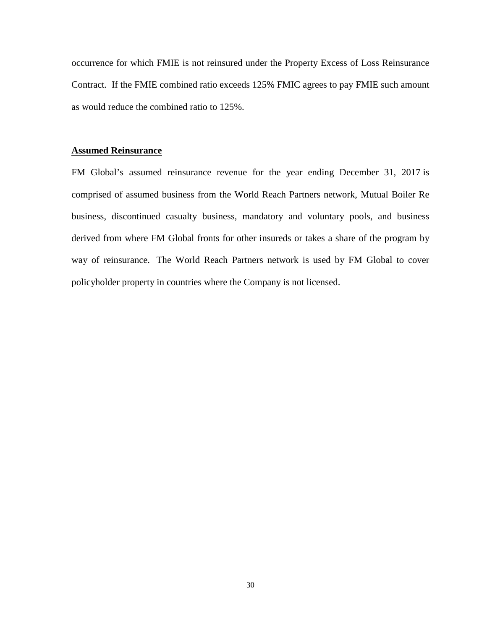occurrence for which FMIE is not reinsured under the Property Excess of Loss Reinsurance Contract. If the FMIE combined ratio exceeds 125% FMIC agrees to pay FMIE such amount as would reduce the combined ratio to 125%.

## **Assumed Reinsurance**

FM Global's assumed reinsurance revenue for the year ending December 31, 2017 is comprised of assumed business from the World Reach Partners network, Mutual Boiler Re business, discontinued casualty business, mandatory and voluntary pools, and business derived from where FM Global fronts for other insureds or takes a share of the program by way of reinsurance. The World Reach Partners network is used by FM Global to cover policyholder property in countries where the Company is not licensed.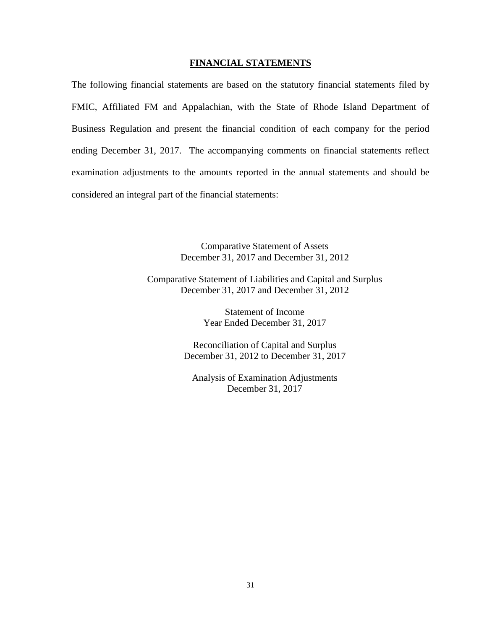## **FINANCIAL STATEMENTS**

The following financial statements are based on the statutory financial statements filed by FMIC, Affiliated FM and Appalachian, with the State of Rhode Island Department of Business Regulation and present the financial condition of each company for the period ending December 31, 2017. The accompanying comments on financial statements reflect examination adjustments to the amounts reported in the annual statements and should be considered an integral part of the financial statements:

> Comparative Statement of Assets December 31, 2017 and December 31, 2012

Comparative Statement of Liabilities and Capital and Surplus December 31, 2017 and December 31, 2012

> Statement of Income Year Ended December 31, 2017

Reconciliation of Capital and Surplus December 31, 2012 to December 31, 2017

Analysis of Examination Adjustments December 31, 2017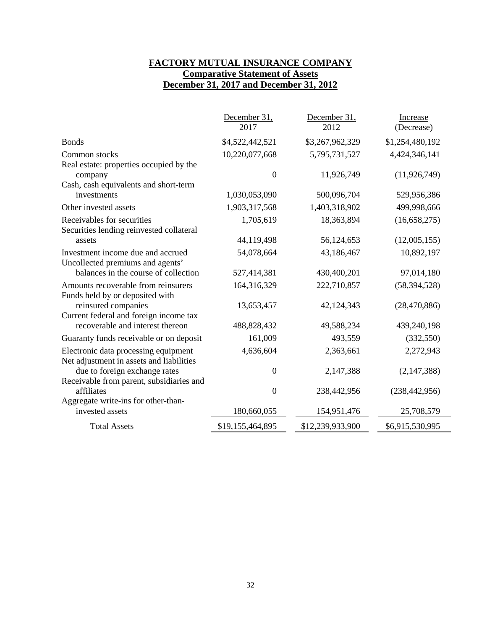# **FACTORY MUTUAL INSURANCE COMPANY Comparative Statement of Assets December 31, 2017 and December 31, 2012**

|                                                                                  | December 31,     | December 31,     | Increase        |
|----------------------------------------------------------------------------------|------------------|------------------|-----------------|
|                                                                                  | 2017             | 2012             | (Decrease)      |
| <b>Bonds</b>                                                                     | \$4,522,442,521  | \$3,267,962,329  | \$1,254,480,192 |
| Common stocks                                                                    | 10,220,077,668   | 5,795,731,527    | 4,424,346,141   |
| Real estate: properties occupied by the<br>company                               | $\theta$         | 11,926,749       | (11, 926, 749)  |
| Cash, cash equivalents and short-term<br>investments                             | 1,030,053,090    | 500,096,704      | 529,956,386     |
| Other invested assets                                                            | 1,903,317,568    | 1,403,318,902    | 499,998,666     |
| Receivables for securities<br>Securities lending reinvested collateral           | 1,705,619        | 18,363,894       | (16, 658, 275)  |
| assets                                                                           | 44,119,498       | 56,124,653       | (12,005,155)    |
| Investment income due and accrued<br>Uncollected premiums and agents'            | 54,078,664       | 43,186,467       | 10,892,197      |
| balances in the course of collection                                             | 527,414,381      | 430,400,201      | 97,014,180      |
| Amounts recoverable from reinsurers<br>Funds held by or deposited with           | 164,316,329      | 222,710,857      | (58, 394, 528)  |
| reinsured companies<br>Current federal and foreign income tax                    | 13,653,457       | 42,124,343       | (28, 470, 886)  |
| recoverable and interest thereon                                                 | 488,828,432      | 49,588,234       | 439,240,198     |
| Guaranty funds receivable or on deposit                                          | 161,009          | 493,559          | (332, 550)      |
| Electronic data processing equipment<br>Net adjustment in assets and liabilities | 4,636,604        | 2,363,661        | 2,272,943       |
| due to foreign exchange rates                                                    | $\mathbf{0}$     | 2,147,388        | (2,147,388)     |
| Receivable from parent, subsidiaries and<br>affiliates                           | $\mathbf{0}$     | 238,442,956      | (238, 442, 956) |
| Aggregate write-ins for other-than-<br>invested assets                           | 180,660,055      | 154,951,476      | 25,708,579      |
| <b>Total Assets</b>                                                              | \$19,155,464,895 | \$12,239,933,900 | \$6,915,530,995 |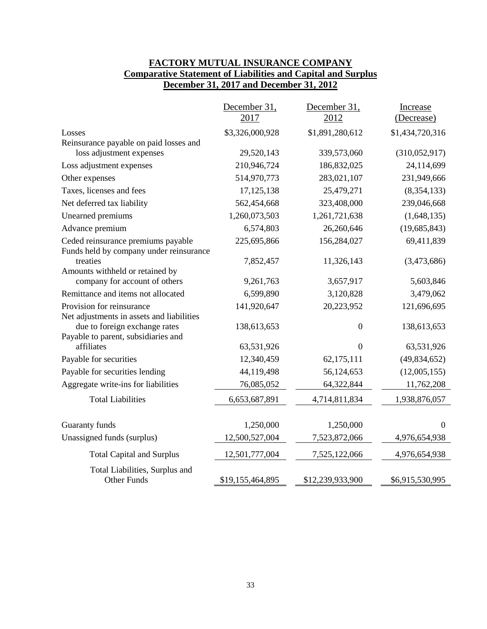# **FACTORY MUTUAL INSURANCE COMPANY Comparative Statement of Liabilities and Capital and Surplus December 31, 2017 and December 31, 2012**

|                                                                               | December 31,<br>2017 | December 31,<br>2012 | <b>Increase</b><br>(Decrease) |
|-------------------------------------------------------------------------------|----------------------|----------------------|-------------------------------|
| Losses                                                                        | \$3,326,000,928      | \$1,891,280,612      | \$1,434,720,316               |
| Reinsurance payable on paid losses and                                        |                      |                      |                               |
| loss adjustment expenses                                                      | 29,520,143           | 339,573,060          | (310,052,917)                 |
| Loss adjustment expenses                                                      | 210,946,724          | 186,832,025          | 24,114,699                    |
| Other expenses                                                                | 514,970,773          | 283,021,107          | 231,949,666                   |
| Taxes, licenses and fees                                                      | 17,125,138           | 25,479,271           | (8,354,133)                   |
| Net deferred tax liability                                                    | 562,454,668          | 323,408,000          | 239,046,668                   |
| Unearned premiums                                                             | 1,260,073,503        | 1,261,721,638        | (1,648,135)                   |
| Advance premium                                                               | 6,574,803            | 26,260,646           | (19, 685, 843)                |
| Ceded reinsurance premiums payable<br>Funds held by company under reinsurance | 225,695,866          | 156,284,027          | 69,411,839                    |
| treaties                                                                      | 7,852,457            | 11,326,143           | (3,473,686)                   |
| Amounts withheld or retained by<br>company for account of others              | 9,261,763            | 3,657,917            | 5,603,846                     |
| Remittance and items not allocated                                            | 6,599,890            | 3,120,828            | 3,479,062                     |
| Provision for reinsurance                                                     | 141,920,647          | 20,223,952           | 121,696,695                   |
| Net adjustments in assets and liabilities<br>due to foreign exchange rates    | 138,613,653          | $\boldsymbol{0}$     | 138,613,653                   |
| Payable to parent, subsidiaries and<br>affiliates                             | 63,531,926           | $\overline{0}$       | 63,531,926                    |
| Payable for securities                                                        | 12,340,459           | 62,175,111           | (49, 834, 652)                |
| Payable for securities lending                                                | 44,119,498           | 56,124,653           | (12,005,155)                  |
| Aggregate write-ins for liabilities                                           | 76,085,052           | 64,322,844           | 11,762,208                    |
| <b>Total Liabilities</b>                                                      | 6,653,687,891        | 4,714,811,834        | 1,938,876,057                 |
| Guaranty funds                                                                | 1,250,000            | 1,250,000            | $\overline{0}$                |
| Unassigned funds (surplus)                                                    | 12,500,527,004       | 7,523,872,066        | 4,976,654,938                 |
| <b>Total Capital and Surplus</b>                                              | 12,501,777,004       | 7,525,122,066        | 4,976,654,938                 |
| Total Liabilities, Surplus and<br><b>Other Funds</b>                          | \$19,155,464,895     | \$12,239,933,900     | \$6,915,530,995               |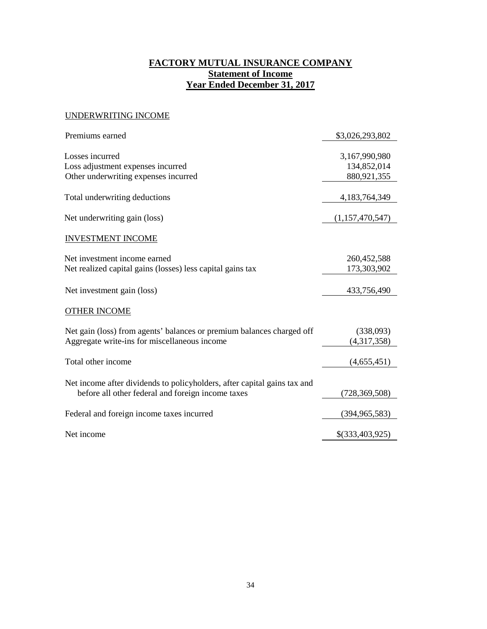# **FACTORY MUTUAL INSURANCE COMPANY Statement of Income Year Ended December 31, 2017**

## UNDERWRITING INCOME

| Premiums earned                                                          | \$3,026,293,802 |
|--------------------------------------------------------------------------|-----------------|
| Losses incurred                                                          | 3,167,990,980   |
| Loss adjustment expenses incurred                                        | 134,852,014     |
| Other underwriting expenses incurred                                     | 880,921,355     |
| Total underwriting deductions                                            | 4,183,764,349   |
| Net underwriting gain (loss)                                             | (1,157,470,547) |
| <b>INVESTMENT INCOME</b>                                                 |                 |
| Net investment income earned                                             | 260,452,588     |
| Net realized capital gains (losses) less capital gains tax               | 173,303,902     |
| Net investment gain (loss)                                               | 433,756,490     |
| <b>OTHER INCOME</b>                                                      |                 |
| Net gain (loss) from agents' balances or premium balances charged off    | (338,093)       |
| Aggregate write-ins for miscellaneous income                             | (4,317,358)     |
| Total other income                                                       | (4,655,451)     |
| Net income after dividends to policyholders, after capital gains tax and |                 |
| before all other federal and foreign income taxes                        | (728, 369, 508) |
| Federal and foreign income taxes incurred                                | (394, 965, 583) |
| Net income                                                               | \$(333,403,925) |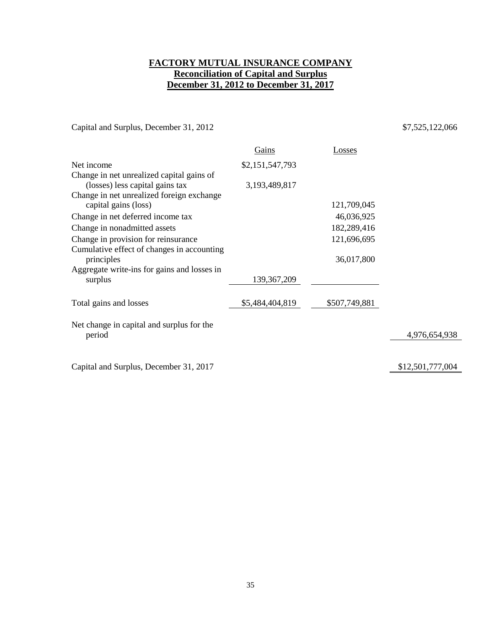# **FACTORY MUTUAL INSURANCE COMPANY Reconciliation of Capital and Surplus December 31, 2012 to December 31, 2017**

Capital and Surplus, December 31, 2012 \$7,525,122,066

|                                                                   | Gains           | Losses        |                  |
|-------------------------------------------------------------------|-----------------|---------------|------------------|
| Net income                                                        | \$2,151,547,793 |               |                  |
| Change in net unrealized capital gains of                         |                 |               |                  |
| (losses) less capital gains tax                                   | 3,193,489,817   |               |                  |
| Change in net unrealized foreign exchange<br>capital gains (loss) |                 | 121,709,045   |                  |
| Change in net deferred income tax                                 |                 | 46,036,925    |                  |
| Change in nonadmitted assets                                      |                 | 182,289,416   |                  |
| Change in provision for reinsurance                               |                 | 121,696,695   |                  |
| Cumulative effect of changes in accounting<br>principles          |                 | 36,017,800    |                  |
| Aggregate write-ins for gains and losses in                       |                 |               |                  |
| surplus                                                           | 139, 367, 209   |               |                  |
| Total gains and losses                                            | \$5,484,404,819 | \$507,749,881 |                  |
| Net change in capital and surplus for the                         |                 |               |                  |
| period                                                            |                 |               | 4,976,654,938    |
|                                                                   |                 |               |                  |
| Capital and Surplus, December 31, 2017                            |                 |               | \$12,501,777,004 |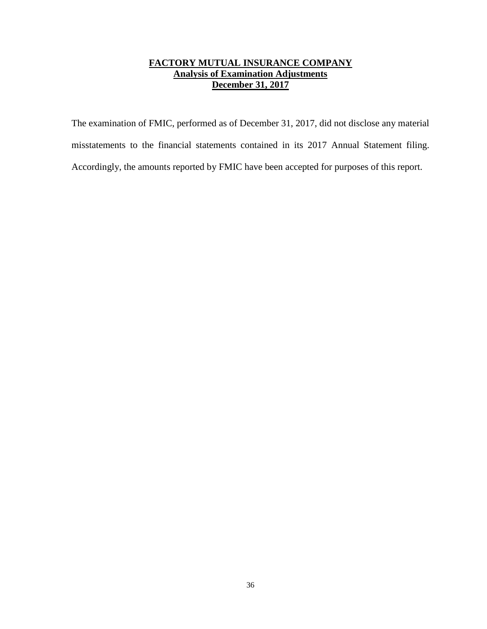## **FACTORY MUTUAL INSURANCE COMPANY Analysis of Examination Adjustments December 31, 2017**

The examination of FMIC, performed as of December 31, 2017, did not disclose any material misstatements to the financial statements contained in its 2017 Annual Statement filing. Accordingly, the amounts reported by FMIC have been accepted for purposes of this report.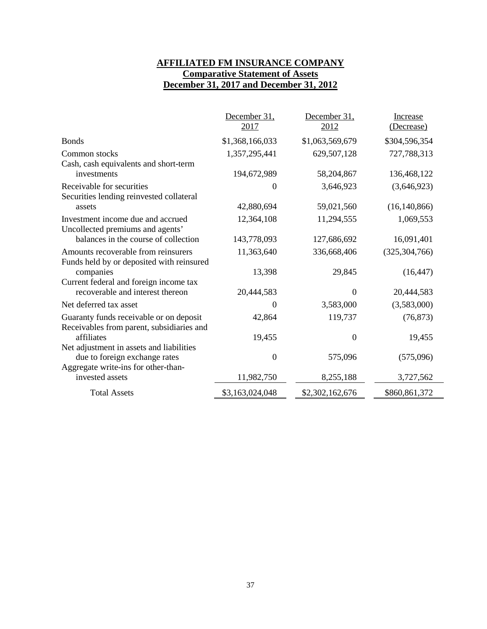# **AFFILIATED FM INSURANCE COMPANY Comparative Statement of Assets December 31, 2017 and December 31, 2012**

|                                                                                                                  | December 31,<br>2017 | December 31,<br>2012 | Increase<br>(Decrease) |
|------------------------------------------------------------------------------------------------------------------|----------------------|----------------------|------------------------|
| <b>Bonds</b>                                                                                                     | \$1,368,166,033      | \$1,063,569,679      | \$304,596,354          |
| Common stocks                                                                                                    | 1,357,295,441        | 629,507,128          | 727,788,313            |
| Cash, cash equivalents and short-term<br>investments                                                             | 194,672,989          | 58,204,867           | 136,468,122            |
| Receivable for securities<br>Securities lending reinvested collateral                                            | 0                    | 3,646,923            | (3,646,923)            |
| assets                                                                                                           | 42,880,694           | 59,021,560           | (16, 140, 866)         |
| Investment income due and accrued<br>Uncollected premiums and agents'                                            | 12,364,108           | 11,294,555           | 1,069,553              |
| balances in the course of collection                                                                             | 143,778,093          | 127,686,692          | 16,091,401             |
| Amounts recoverable from reinsurers<br>Funds held by or deposited with reinsured                                 | 11,363,640           | 336,668,406          | (325, 304, 766)        |
| companies<br>Current federal and foreign income tax                                                              | 13,398               | 29,845               | (16, 447)              |
| recoverable and interest thereon                                                                                 | 20,444,583           | $\Omega$             | 20,444,583             |
| Net deferred tax asset                                                                                           | $\Omega$             | 3,583,000            | (3,583,000)            |
| Guaranty funds receivable or on deposit<br>Receivables from parent, subsidiaries and                             | 42,864               | 119,737              | (76, 873)              |
| affiliates                                                                                                       | 19,455               | $\theta$             | 19,455                 |
| Net adjustment in assets and liabilities<br>due to foreign exchange rates<br>Aggregate write-ins for other-than- | $\mathbf{0}$         | 575,096              | (575,096)              |
| invested assets                                                                                                  | 11,982,750           | 8,255,188            | 3,727,562              |
| <b>Total Assets</b>                                                                                              | \$3,163,024,048      | \$2,302,162,676      | \$860,861,372          |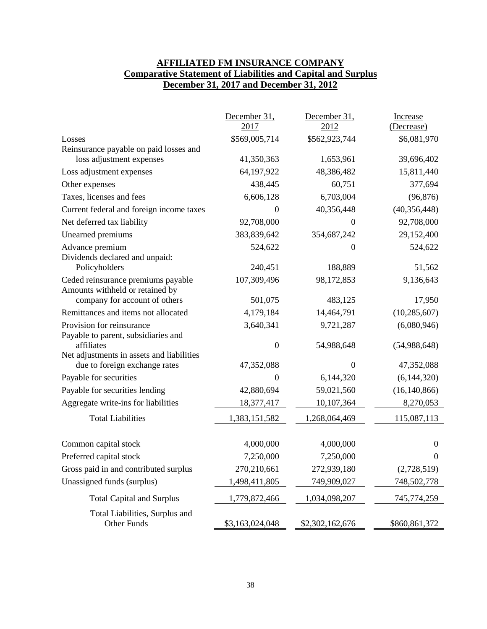# **AFFILIATED FM INSURANCE COMPANY Comparative Statement of Liabilities and Capital and Surplus December 31, 2017 and December 31, 2012**

|                                                                       | December 31,<br>2017 | December 31,<br>2012 | Increase<br>(Decrease) |
|-----------------------------------------------------------------------|----------------------|----------------------|------------------------|
| Losses                                                                | \$569,005,714        | \$562,923,744        | \$6,081,970            |
| Reinsurance payable on paid losses and                                |                      |                      |                        |
| loss adjustment expenses                                              | 41,350,363           | 1,653,961            | 39,696,402             |
| Loss adjustment expenses                                              | 64,197,922           | 48,386,482           | 15,811,440             |
| Other expenses                                                        | 438,445              | 60,751               | 377,694                |
| Taxes, licenses and fees                                              | 6,606,128            | 6,703,004            | (96, 876)              |
| Current federal and foreign income taxes                              | $\Omega$             | 40,356,448           | (40, 356, 448)         |
| Net deferred tax liability                                            | 92,708,000           | $\Omega$             | 92,708,000             |
| Unearned premiums                                                     | 383,839,642          | 354,687,242          | 29,152,400             |
| Advance premium                                                       | 524,622              | $\theta$             | 524,622                |
| Dividends declared and unpaid:                                        |                      |                      |                        |
| Policyholders                                                         | 240,451              | 188,889              | 51,562                 |
| Ceded reinsurance premiums payable<br>Amounts withheld or retained by | 107,309,496          | 98,172,853           | 9,136,643              |
| company for account of others                                         | 501,075              | 483,125              | 17,950                 |
| Remittances and items not allocated                                   | 4,179,184            | 14,464,791           | (10, 285, 607)         |
| Provision for reinsurance                                             | 3,640,341            | 9,721,287            | (6,080,946)            |
| Payable to parent, subsidiaries and<br>affiliates                     | $\boldsymbol{0}$     | 54,988,648           | (54,988,648)           |
| Net adjustments in assets and liabilities                             |                      |                      |                        |
| due to foreign exchange rates                                         | 47,352,088           | $\theta$             | 47,352,088             |
| Payable for securities                                                | 0                    | 6,144,320            | (6,144,320)            |
| Payable for securities lending                                        | 42,880,694           | 59,021,560           | (16, 140, 866)         |
| Aggregate write-ins for liabilities                                   | 18,377,417           | 10,107,364           | 8,270,053              |
| <b>Total Liabilities</b>                                              | 1,383,151,582        | 1,268,064,469        | 115,087,113            |
| Common capital stock                                                  | 4,000,000            | 4,000,000            | $\overline{0}$         |
| Preferred capital stock                                               | 7,250,000            | 7,250,000            | $\theta$               |
| Gross paid in and contributed surplus                                 | 270,210,661          | 272,939,180          | (2,728,519)            |
| Unassigned funds (surplus)                                            | 1,498,411,805        | 749,909,027          | 748,502,778            |
|                                                                       |                      |                      |                        |
| <b>Total Capital and Surplus</b>                                      | 1,779,872,466        | 1,034,098,207        | 745,774,259            |
| Total Liabilities, Surplus and<br>Other Funds                         | \$3,163,024,048      | \$2,302,162,676      | \$860,861,372          |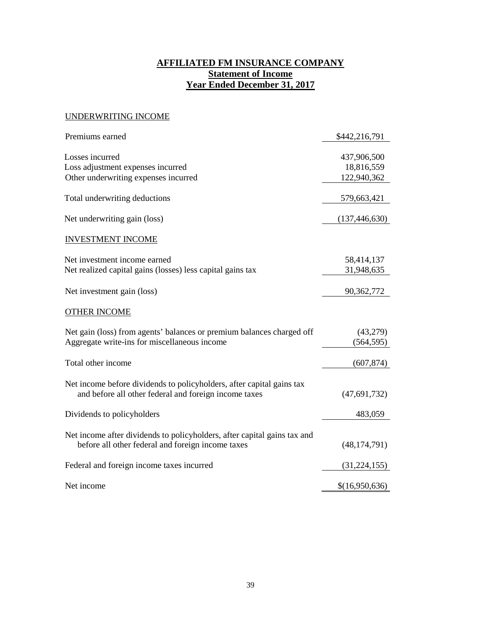# **AFFILIATED FM INSURANCE COMPANY Statement of Income Year Ended December 31, 2017**

## UNDERWRITING INCOME

| Premiums earned                                                                                                                | \$442,216,791                            |
|--------------------------------------------------------------------------------------------------------------------------------|------------------------------------------|
| Losses incurred<br>Loss adjustment expenses incurred<br>Other underwriting expenses incurred                                   | 437,906,500<br>18,816,559<br>122,940,362 |
|                                                                                                                                |                                          |
| Total underwriting deductions                                                                                                  | 579,663,421                              |
| Net underwriting gain (loss)                                                                                                   | (137, 446, 630)                          |
| <b>INVESTMENT INCOME</b>                                                                                                       |                                          |
| Net investment income earned                                                                                                   | 58,414,137                               |
| Net realized capital gains (losses) less capital gains tax                                                                     | 31,948,635                               |
| Net investment gain (loss)                                                                                                     | 90,362,772                               |
| <b>OTHER INCOME</b>                                                                                                            |                                          |
| Net gain (loss) from agents' balances or premium balances charged off<br>Aggregate write-ins for miscellaneous income          | (43,279)<br>(564, 595)                   |
| Total other income                                                                                                             | (607, 874)                               |
| Net income before dividends to policyholders, after capital gains tax<br>and before all other federal and foreign income taxes | (47, 691, 732)                           |
| Dividends to policyholders                                                                                                     | 483,059                                  |
| Net income after dividends to policyholders, after capital gains tax and<br>before all other federal and foreign income taxes  | (48, 174, 791)                           |
| Federal and foreign income taxes incurred                                                                                      | (31,224,155)                             |
| Net income                                                                                                                     | \$(16,950,636)                           |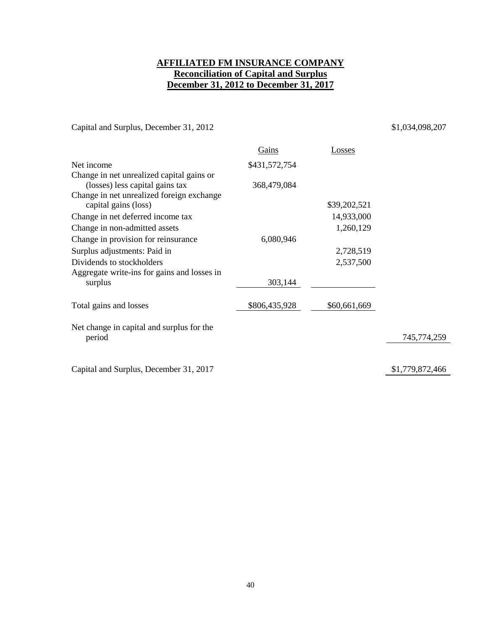# **AFFILIATED FM INSURANCE COMPANY Reconciliation of Capital and Surplus December 31, 2012 to December 31, 2017**

Capital and Surplus, December 31, 2012 \$1,034,098,207

|                                                                              | Gains         | <u>Losses</u> |                 |
|------------------------------------------------------------------------------|---------------|---------------|-----------------|
| Net income                                                                   | \$431,572,754 |               |                 |
| Change in net unrealized capital gains or<br>(losses) less capital gains tax | 368,479,084   |               |                 |
| Change in net unrealized foreign exchange<br>capital gains (loss)            |               | \$39,202,521  |                 |
| Change in net deferred income tax                                            |               | 14,933,000    |                 |
| Change in non-admitted assets                                                |               | 1,260,129     |                 |
| Change in provision for reinsurance                                          | 6,080,946     |               |                 |
| Surplus adjustments: Paid in                                                 |               | 2,728,519     |                 |
| Dividends to stockholders                                                    |               | 2,537,500     |                 |
| Aggregate write-ins for gains and losses in                                  |               |               |                 |
| surplus                                                                      | 303,144       |               |                 |
| Total gains and losses                                                       | \$806,435,928 | \$60,661,669  |                 |
| Net change in capital and surplus for the                                    |               |               |                 |
| period                                                                       |               |               | 745,774,259     |
|                                                                              |               |               |                 |
| Capital and Surplus, December 31, 2017                                       |               |               | \$1,779,872,466 |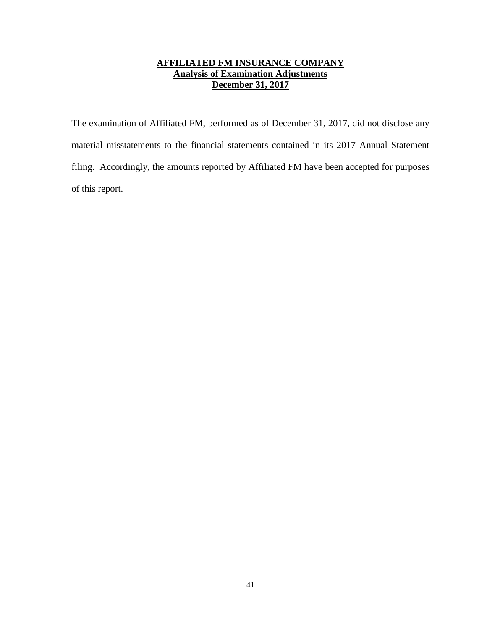# **AFFILIATED FM INSURANCE COMPANY Analysis of Examination Adjustments December 31, 2017**

The examination of Affiliated FM, performed as of December 31, 2017, did not disclose any material misstatements to the financial statements contained in its 2017 Annual Statement filing. Accordingly, the amounts reported by Affiliated FM have been accepted for purposes of this report.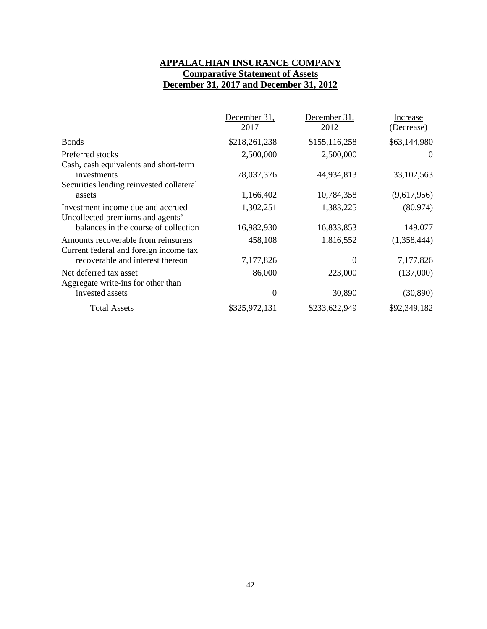# **APPALACHIAN INSURANCE COMPANY Comparative Statement of Assets December 31, 2017 and December 31, 2012**

|                                                                                                  | December 31,<br>2017 | December 31,<br>2012 | Increase<br>(Decrease) |
|--------------------------------------------------------------------------------------------------|----------------------|----------------------|------------------------|
| <b>Bonds</b>                                                                                     | \$218,261,238        | \$155,116,258        | \$63,144,980           |
| Preferred stocks                                                                                 | 2,500,000            | 2,500,000            | $\Omega$               |
| Cash, cash equivalents and short-term<br>investments<br>Securities lending reinvested collateral | 78,037,376           | 44,934,813           | 33, 102, 563           |
| assets                                                                                           | 1,166,402            | 10,784,358           | (9,617,956)            |
| Investment income due and accrued<br>Uncollected premiums and agents'                            | 1,302,251            | 1,383,225            | (80, 974)              |
| balances in the course of collection                                                             | 16,982,930           | 16,833,853           | 149,077                |
| Amounts recoverable from reinsurers<br>Current federal and foreign income tax                    | 458,108              | 1,816,552            | (1,358,444)            |
| recoverable and interest thereon                                                                 | 7,177,826            | $\Omega$             | 7,177,826              |
| Net deferred tax asset<br>Aggregate write-ins for other than                                     | 86,000               | 223,000              | (137,000)              |
| invested assets                                                                                  | $\Omega$             | 30,890               | (30, 890)              |
| <b>Total Assets</b>                                                                              | \$325,972,131        | \$233,622,949        | \$92,349,182           |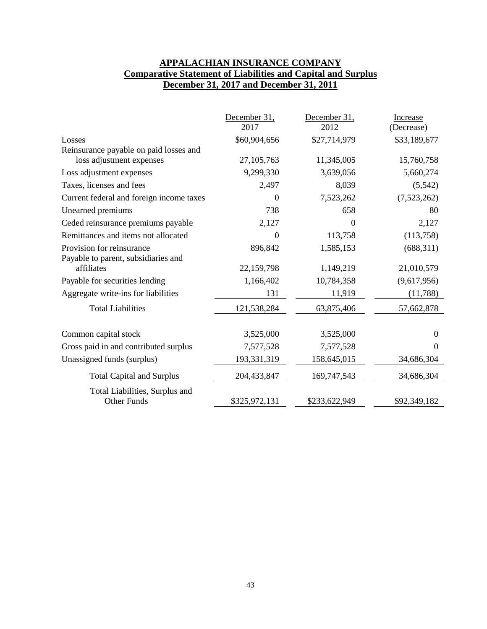# **APPALACHIAN INSURANCE COMPANY Comparative Statement of Liabilities and Capital and Surplus December 31, 2017 and December 31, 2011**

|                                                                    | December 31,  | December 31,  | Increase     |
|--------------------------------------------------------------------|---------------|---------------|--------------|
|                                                                    | 2017          | 2012          | (Decrease)   |
| Losses                                                             | \$60,904,656  | \$27,714,979  | \$33,189,677 |
| Reinsurance payable on paid losses and<br>loss adjustment expenses | 27,105,763    | 11,345,005    | 15,760,758   |
| Loss adjustment expenses                                           | 9,299,330     | 3,639,056     | 5,660,274    |
| Taxes, licenses and fees                                           | 2,497         | 8,039         | (5,542)      |
| Current federal and foreign income taxes                           | 0             | 7,523,262     | (7,523,262)  |
| Unearned premiums                                                  | 738           | 658           | 80           |
| Ceded reinsurance premiums payable                                 | 2,127         | $\Omega$      | 2,127        |
| Remittances and items not allocated                                | 0             | 113,758       | (113,758)    |
| Provision for reinsurance<br>Payable to parent, subsidiaries and   | 896,842       | 1,585,153     | (688, 311)   |
| affiliates                                                         | 22,159,798    | 1,149,219     | 21,010,579   |
| Payable for securities lending                                     | 1,166,402     | 10,784,358    | (9,617,956)  |
| Aggregate write-ins for liabilities                                | 131           | 11,919        | (11, 788)    |
| <b>Total Liabilities</b>                                           | 121,538,284   | 63,875,406    | 57,662,878   |
| Common capital stock                                               | 3,525,000     | 3,525,000     | $\Omega$     |
| Gross paid in and contributed surplus                              | 7,577,528     | 7,577,528     | $\Omega$     |
| Unassigned funds (surplus)                                         | 193,331,319   | 158,645,015   | 34,686,304   |
| <b>Total Capital and Surplus</b>                                   | 204,433,847   | 169,747,543   | 34,686,304   |
| Total Liabilities, Surplus and<br><b>Other Funds</b>               | \$325,972,131 | \$233,622,949 | \$92,349,182 |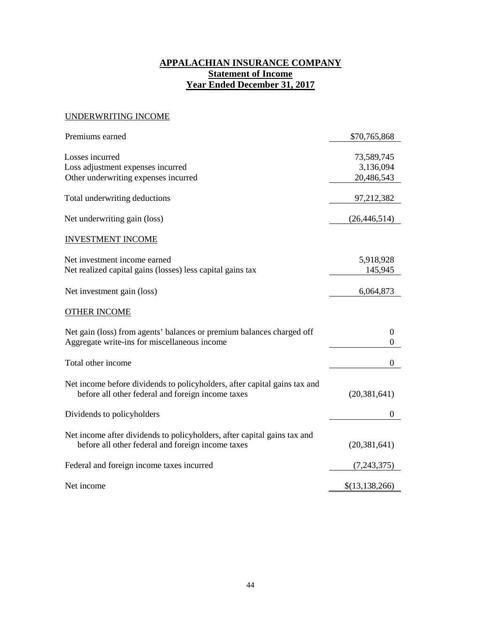# **APPALACHIAN INSURANCE COMPANY Statement of Income Year Ended December 31, 2017**

## UNDERWRITING INCOME

| Premiums earned                                                                                                                | \$70,765,868                          |
|--------------------------------------------------------------------------------------------------------------------------------|---------------------------------------|
| Losses incurred<br>Loss adjustment expenses incurred<br>Other underwriting expenses incurred                                   | 73,589,745<br>3,136,094<br>20,486,543 |
| Total underwriting deductions                                                                                                  | 97,212,382                            |
| Net underwriting gain (loss)                                                                                                   | (26, 446, 514)                        |
| <b>INVESTMENT INCOME</b>                                                                                                       |                                       |
| Net investment income earned<br>Net realized capital gains (losses) less capital gains tax                                     | 5,918,928<br>145,945                  |
| Net investment gain (loss)                                                                                                     | 6,064,873                             |
| <b>OTHER INCOME</b>                                                                                                            |                                       |
| Net gain (loss) from agents' balances or premium balances charged off<br>Aggregate write-ins for miscellaneous income          | $\boldsymbol{0}$<br>$\boldsymbol{0}$  |
| Total other income                                                                                                             | $\overline{0}$                        |
| Net income before dividends to policyholders, after capital gains tax and<br>before all other federal and foreign income taxes | (20, 381, 641)                        |
| Dividends to policyholders                                                                                                     | $\boldsymbol{0}$                      |
| Net income after dividends to policyholders, after capital gains tax and<br>before all other federal and foreign income taxes  | (20, 381, 641)                        |
| Federal and foreign income taxes incurred                                                                                      | (7,243,375)                           |
| Net income                                                                                                                     | \$(13,138,266)                        |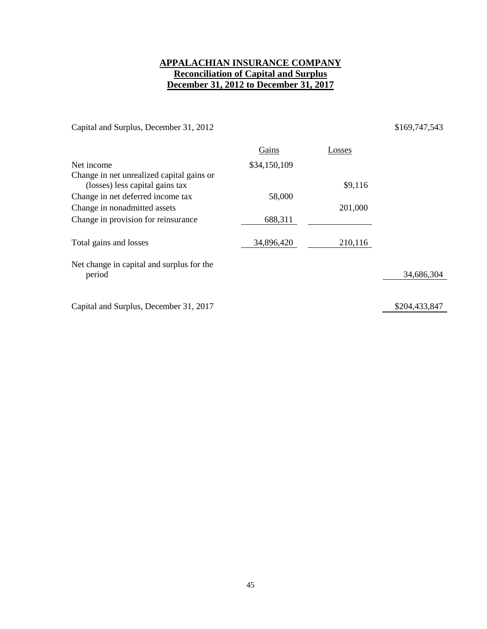# **APPALACHIAN INSURANCE COMPANY Reconciliation of Capital and Surplus December 31, 2012 to December 31, 2017**

Capital and Surplus, December 31, 2012 \$169,747,543

|                                                                              | Gains        | Losses  |               |
|------------------------------------------------------------------------------|--------------|---------|---------------|
| Net income                                                                   | \$34,150,109 |         |               |
| Change in net unrealized capital gains or<br>(losses) less capital gains tax |              | \$9,116 |               |
| Change in net deferred income tax                                            | 58,000       |         |               |
| Change in nonadmitted assets                                                 |              | 201,000 |               |
| Change in provision for reinsurance                                          | 688,311      |         |               |
| Total gains and losses                                                       | 34,896,420   | 210,116 |               |
| Net change in capital and surplus for the                                    |              |         |               |
| period                                                                       |              |         | 34,686,304    |
| Capital and Surplus, December 31, 2017                                       |              |         | \$204,433,847 |
|                                                                              |              |         |               |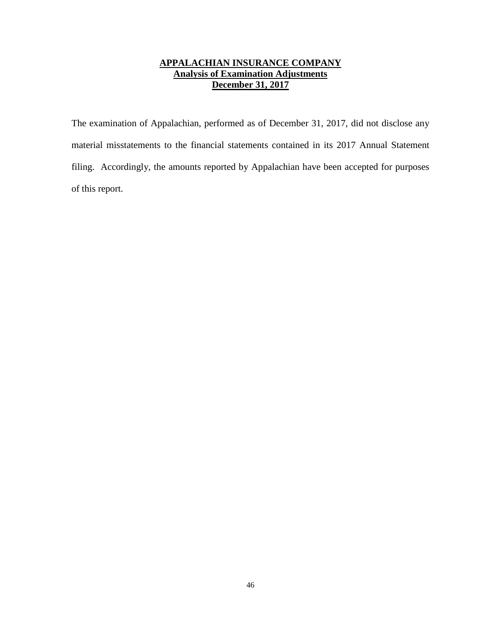# **APPALACHIAN INSURANCE COMPANY Analysis of Examination Adjustments December 31, 2017**

The examination of Appalachian, performed as of December 31, 2017, did not disclose any material misstatements to the financial statements contained in its 2017 Annual Statement filing. Accordingly, the amounts reported by Appalachian have been accepted for purposes of this report.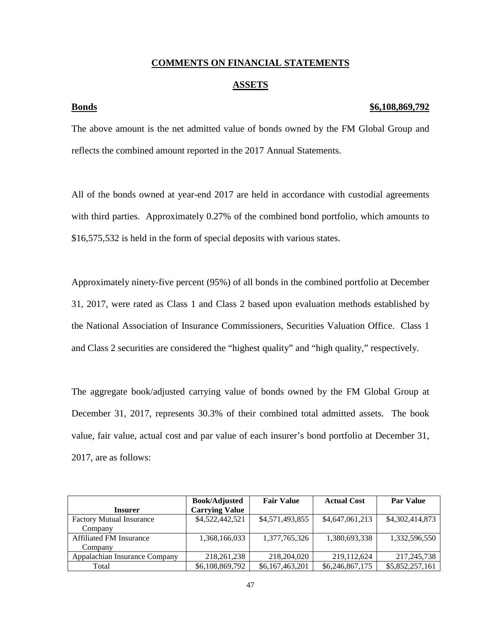#### **COMMENTS ON FINANCIAL STATEMENTS**

#### **ASSETS**

#### **Bonds \$6,108,869,792**

The above amount is the net admitted value of bonds owned by the FM Global Group and reflects the combined amount reported in the 2017 Annual Statements.

All of the bonds owned at year-end 2017 are held in accordance with custodial agreements with third parties. Approximately 0.27% of the combined bond portfolio, which amounts to \$16,575,532 is held in the form of special deposits with various states.

Approximately ninety-five percent (95%) of all bonds in the combined portfolio at December 31, 2017, were rated as Class 1 and Class 2 based upon evaluation methods established by the National Association of Insurance Commissioners, Securities Valuation Office. Class 1 and Class 2 securities are considered the "highest quality" and "high quality," respectively.

The aggregate book/adjusted carrying value of bonds owned by the FM Global Group at December 31, 2017, represents 30.3% of their combined total admitted assets. The book value, fair value, actual cost and par value of each insurer's bond portfolio at December 31, 2017, are as follows:

|                                 | <b>Book/Adjusted</b>  | <b>Fair Value</b> | <b>Actual Cost</b> | <b>Par Value</b> |
|---------------------------------|-----------------------|-------------------|--------------------|------------------|
| <b>Insurer</b>                  | <b>Carrying Value</b> |                   |                    |                  |
| <b>Factory Mutual Insurance</b> | \$4,522,442,521       | \$4,571,493,855   | \$4,647,061,213    | \$4,302,414,873  |
| Company                         |                       |                   |                    |                  |
| <b>Affiliated FM Insurance</b>  | 1,368,166,033         | 1,377,765,326     | 1,380,693,338      | 1,332,596,550    |
| Company                         |                       |                   |                    |                  |
| Appalachian Insurance Company   | 218, 261, 238         | 218,204,020       | 219,112,624        | 217, 245, 738    |
| Total                           | \$6,108,869,792       | \$6,167,463,201   | \$6,246,867,175    | \$5,852,257,161  |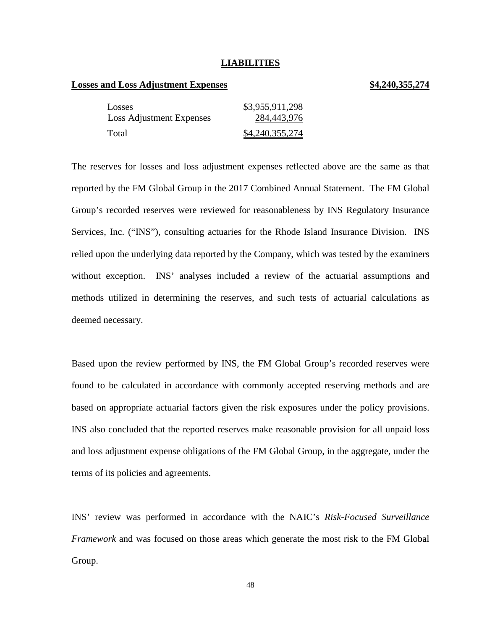#### **LIABILITIES**

## **Losses and Loss Adjustment Expenses \$4,240,355,274**

| Losses                          | \$3,955,911,298 |
|---------------------------------|-----------------|
| <b>Loss Adjustment Expenses</b> | 284,443,976     |
| Total                           | \$4,240,355,274 |

The reserves for losses and loss adjustment expenses reflected above are the same as that reported by the FM Global Group in the 2017 Combined Annual Statement. The FM Global Group's recorded reserves were reviewed for reasonableness by INS Regulatory Insurance Services, Inc. ("INS"), consulting actuaries for the Rhode Island Insurance Division. INS relied upon the underlying data reported by the Company, which was tested by the examiners without exception. INS' analyses included a review of the actuarial assumptions and methods utilized in determining the reserves, and such tests of actuarial calculations as deemed necessary.

Based upon the review performed by INS, the FM Global Group's recorded reserves were found to be calculated in accordance with commonly accepted reserving methods and are based on appropriate actuarial factors given the risk exposures under the policy provisions. INS also concluded that the reported reserves make reasonable provision for all unpaid loss and loss adjustment expense obligations of the FM Global Group, in the aggregate, under the terms of its policies and agreements.

INS' review was performed in accordance with the NAIC's *Risk-Focused Surveillance Framework* and was focused on those areas which generate the most risk to the FM Global Group.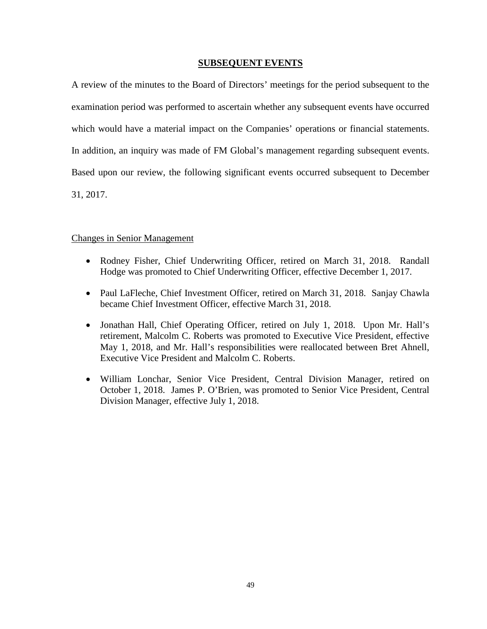## **SUBSEQUENT EVENTS**

A review of the minutes to the Board of Directors' meetings for the period subsequent to the examination period was performed to ascertain whether any subsequent events have occurred which would have a material impact on the Companies' operations or financial statements. In addition, an inquiry was made of FM Global's management regarding subsequent events. Based upon our review, the following significant events occurred subsequent to December 31, 2017.

## Changes in Senior Management

- Rodney Fisher, Chief Underwriting Officer, retired on March 31, 2018. Randall Hodge was promoted to Chief Underwriting Officer, effective December 1, 2017.
- Paul LaFleche, Chief Investment Officer, retired on March 31, 2018. Sanjay Chawla became Chief Investment Officer, effective March 31, 2018.
- Jonathan Hall, Chief Operating Officer, retired on July 1, 2018. Upon Mr. Hall's retirement, Malcolm C. Roberts was promoted to Executive Vice President, effective May 1, 2018, and Mr. Hall's responsibilities were reallocated between Bret Ahnell, Executive Vice President and Malcolm C. Roberts.
- William Lonchar, Senior Vice President, Central Division Manager, retired on October 1, 2018. James P. O'Brien, was promoted to Senior Vice President, Central Division Manager, effective July 1, 2018.